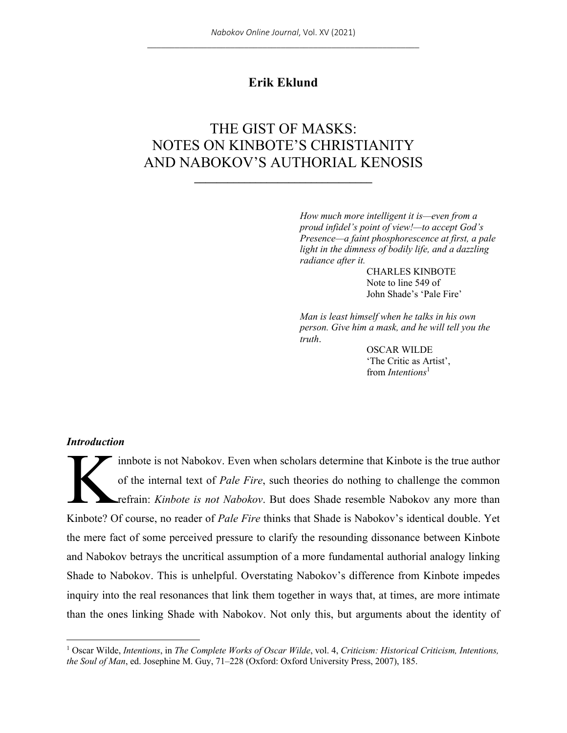## **Erik Eklund**

# THE GIST OF MASKS: NOTES ON KINBOTE'S CHRISTIANITY AND NABOKOV'S AUTHORIAL KENOSIS

**\_\_\_\_\_\_\_\_\_\_\_\_\_\_\_\_\_\_\_\_\_\_\_\_\_\_\_\_\_\_\_\_**

*How much more intelligent it is—even from a proud infidel's point of view!—to accept God's Presence—a faint phosphorescence at first, a pale light in the dimness of bodily life, and a dazzling radiance after it.*

> CHARLES KINBOTE Note to line 549 of John Shade's 'Pale Fire'

*Man is least himself when he talks in his own person. Give him a mask, and he will tell you the truth*.

> OSCAR WILDE 'The Critic as Artist', from *Intentions*<sup>1</sup>

#### *Introduction*

innbote is not Nabokov. Even when scholars determine that Kinbote is the true author of the internal text of *Pale Fire*, such theories do nothing to challenge the common refrain: *Kinbote is not Nabokov*. But does Shade resemble Nabokov any more than Kinbote? Of course, no reader of *Pale Fire* thinks that Shade is Nabokov's identical double. Yet the mere fact of some perceived pressure to clarify the resounding dissonance between Kinbote and Nabokov betrays the uncritical assumption of a more fundamental authorial analogy linking Shade to Nabokov. This is unhelpful. Overstating Nabokov's difference from Kinbote impedes inquiry into the real resonances that link them together in ways that, at times, are more intimate than the ones linking Shade with Nabokov. Not only this, but arguments about the identity of K

<sup>1</sup> Oscar Wilde, *Intentions*, in *The Complete Works of Oscar Wilde*, vol. 4, *Criticism: Historical Criticism, Intentions, the Soul of Man*, ed. Josephine M. Guy, 71–228 (Oxford: Oxford University Press, 2007), 185.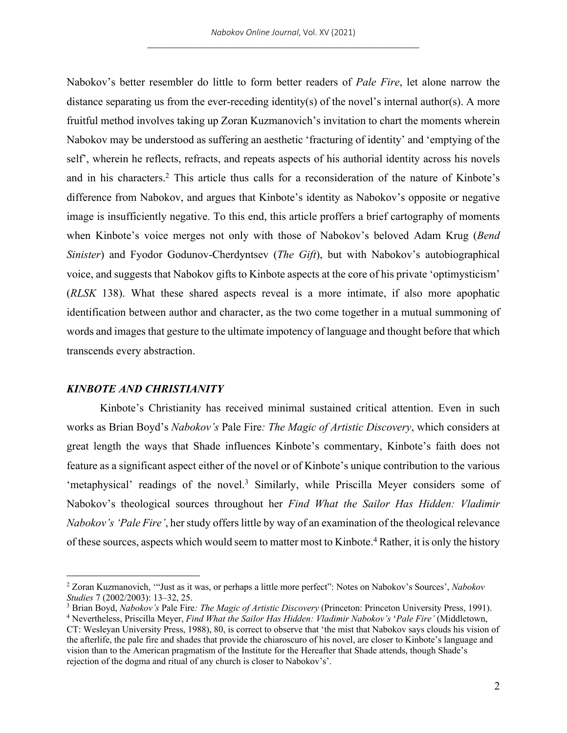Nabokov's better resembler do little to form better readers of *Pale Fire*, let alone narrow the distance separating us from the ever-receding identity(s) of the novel's internal author(s). A more fruitful method involves taking up Zoran Kuzmanovich's invitation to chart the moments wherein Nabokov may be understood as suffering an aesthetic 'fracturing of identity' and 'emptying of the self', wherein he reflects, refracts, and repeats aspects of his authorial identity across his novels and in his characters.2 This article thus calls for a reconsideration of the nature of Kinbote's difference from Nabokov, and argues that Kinbote's identity as Nabokov's opposite or negative image is insufficiently negative. To this end, this article proffers a brief cartography of moments when Kinbote's voice merges not only with those of Nabokov's beloved Adam Krug (*Bend Sinister*) and Fyodor Godunov-Cherdyntsev (*The Gift*), but with Nabokov's autobiographical voice, and suggests that Nabokov gifts to Kinbote aspects at the core of his private 'optimysticism' (*RLSK* 138). What these shared aspects reveal is a more intimate, if also more apophatic identification between author and character, as the two come together in a mutual summoning of words and images that gesture to the ultimate impotency of language and thought before that which transcends every abstraction.

## *KINBOTE AND CHRISTIANITY*

Kinbote's Christianity has received minimal sustained critical attention. Even in such works as Brian Boyd's *Nabokov's* Pale Fire*: The Magic of Artistic Discovery*, which considers at great length the ways that Shade influences Kinbote's commentary, Kinbote's faith does not feature as a significant aspect either of the novel or of Kinbote's unique contribution to the various 'metaphysical' readings of the novel.<sup>3</sup> Similarly, while Priscilla Meyer considers some of Nabokov's theological sources throughout her *Find What the Sailor Has Hidden: Vladimir Nabokov's 'Pale Fire'*, her study offers little by way of an examination of the theological relevance of these sources, aspects which would seem to matter most to Kinbote.4 Rather, it is only the history

<sup>2</sup> Zoran Kuzmanovich, '"Just as it was, or perhaps a little more perfect": Notes on Nabokov's Sources', *Nabokov Studies* 7 (2002/2003): 13–32, 25.

<sup>3</sup> Brian Boyd, *Nabokov's* Pale Fire*: The Magic of Artistic Discovery* (Princeton: Princeton University Press, 1991).

<sup>4</sup> Nevertheless, Priscilla Meyer, *Find What the Sailor Has Hidden: Vladimir Nabokov's* '*Pale Fire'* (Middletown, CT: Wesleyan University Press, 1988), 80, is correct to observe that 'the mist that Nabokov says clouds his vision of the afterlife, the pale fire and shades that provide the chiaroscuro of his novel, are closer to Kinbote's language and vision than to the American pragmatism of the Institute for the Hereafter that Shade attends, though Shade's rejection of the dogma and ritual of any church is closer to Nabokov's'.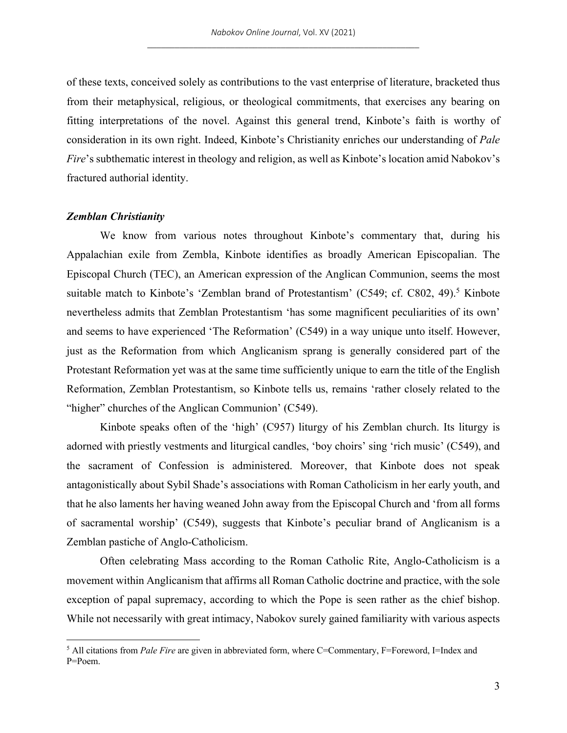of these texts, conceived solely as contributions to the vast enterprise of literature, bracketed thus from their metaphysical, religious, or theological commitments, that exercises any bearing on fitting interpretations of the novel. Against this general trend, Kinbote's faith is worthy of consideration in its own right. Indeed, Kinbote's Christianity enriches our understanding of *Pale Fire*'s subthematic interest in theology and religion, as well as Kinbote's location amid Nabokov's fractured authorial identity.

#### *Zemblan Christianity*

We know from various notes throughout Kinbote's commentary that, during his Appalachian exile from Zembla, Kinbote identifies as broadly American Episcopalian. The Episcopal Church (TEC), an American expression of the Anglican Communion, seems the most suitable match to Kinbote's 'Zemblan brand of Protestantism' (C549; cf. C802, 49).<sup>5</sup> Kinbote nevertheless admits that Zemblan Protestantism 'has some magnificent peculiarities of its own' and seems to have experienced 'The Reformation' (C549) in a way unique unto itself. However, just as the Reformation from which Anglicanism sprang is generally considered part of the Protestant Reformation yet was at the same time sufficiently unique to earn the title of the English Reformation, Zemblan Protestantism, so Kinbote tells us, remains 'rather closely related to the "higher" churches of the Anglican Communion' (C549).

Kinbote speaks often of the 'high' (C957) liturgy of his Zemblan church. Its liturgy is adorned with priestly vestments and liturgical candles, 'boy choirs' sing 'rich music' (C549), and the sacrament of Confession is administered. Moreover, that Kinbote does not speak antagonistically about Sybil Shade's associations with Roman Catholicism in her early youth, and that he also laments her having weaned John away from the Episcopal Church and 'from all forms of sacramental worship' (C549), suggests that Kinbote's peculiar brand of Anglicanism is a Zemblan pastiche of Anglo-Catholicism.

Often celebrating Mass according to the Roman Catholic Rite, Anglo-Catholicism is a movement within Anglicanism that affirms all Roman Catholic doctrine and practice, with the sole exception of papal supremacy, according to which the Pope is seen rather as the chief bishop. While not necessarily with great intimacy, Nabokov surely gained familiarity with various aspects

<sup>&</sup>lt;sup>5</sup> All citations from *Pale Fire* are given in abbreviated form, where C=Commentary, F=Foreword, I=Index and P=Poem.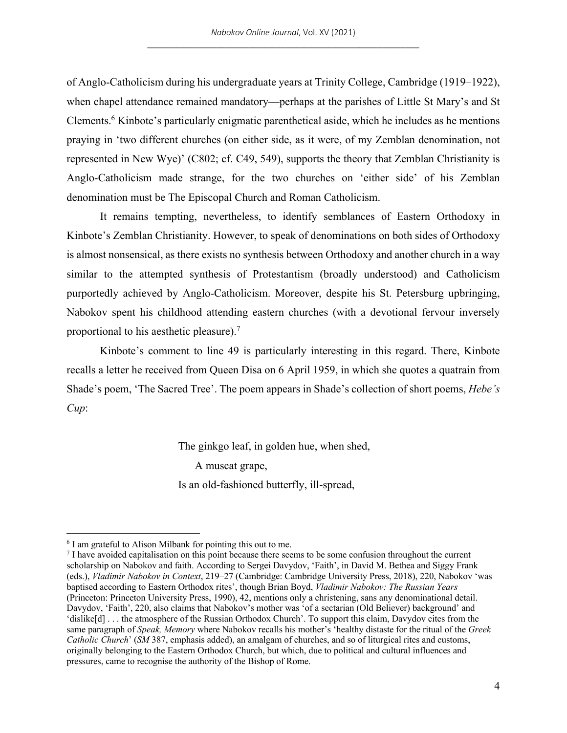of Anglo-Catholicism during his undergraduate years at Trinity College, Cambridge (1919–1922), when chapel attendance remained mandatory—perhaps at the parishes of Little St Mary's and St Clements.6 Kinbote's particularly enigmatic parenthetical aside, which he includes as he mentions praying in 'two different churches (on either side, as it were, of my Zemblan denomination, not represented in New Wye)' (C802; cf. C49, 549), supports the theory that Zemblan Christianity is Anglo-Catholicism made strange, for the two churches on 'either side' of his Zemblan denomination must be The Episcopal Church and Roman Catholicism.

It remains tempting, nevertheless, to identify semblances of Eastern Orthodoxy in Kinbote's Zemblan Christianity. However, to speak of denominations on both sides of Orthodoxy is almost nonsensical, as there exists no synthesis between Orthodoxy and another church in a way similar to the attempted synthesis of Protestantism (broadly understood) and Catholicism purportedly achieved by Anglo-Catholicism. Moreover, despite his St. Petersburg upbringing, Nabokov spent his childhood attending eastern churches (with a devotional fervour inversely proportional to his aesthetic pleasure).7

Kinbote's comment to line 49 is particularly interesting in this regard. There, Kinbote recalls a letter he received from Queen Disa on 6 April 1959, in which she quotes a quatrain from Shade's poem, 'The Sacred Tree'. The poem appears in Shade's collection of short poems, *Hebe's Cup*:

The ginkgo leaf, in golden hue, when shed,

A muscat grape,

Is an old-fashioned butterfly, ill-spread,

<sup>&</sup>lt;sup>6</sup> I am grateful to Alison Milbank for pointing this out to me.

<sup>7</sup> I have avoided capitalisation on this point because there seems to be some confusion throughout the current scholarship on Nabokov and faith. According to Sergei Davydov, 'Faith', in David M. Bethea and Siggy Frank (eds.), *Vladimir Nabokov in Context*, 219–27 (Cambridge: Cambridge University Press, 2018), 220, Nabokov 'was baptised according to Eastern Orthodox rites', though Brian Boyd, *Vladimir Nabokov: The Russian Years* (Princeton: Princeton University Press, 1990), 42, mentions only a christening, sans any denominational detail. Davydov, 'Faith', 220, also claims that Nabokov's mother was 'of a sectarian (Old Believer) background' and 'dislike[d] . . . the atmosphere of the Russian Orthodox Church'. To support this claim, Davydov cites from the same paragraph of *Speak, Memory* where Nabokov recalls his mother's 'healthy distaste for the ritual of the *Greek Catholic Church*' (*SM* 387, emphasis added), an amalgam of churches, and so of liturgical rites and customs, originally belonging to the Eastern Orthodox Church, but which, due to political and cultural influences and pressures, came to recognise the authority of the Bishop of Rome.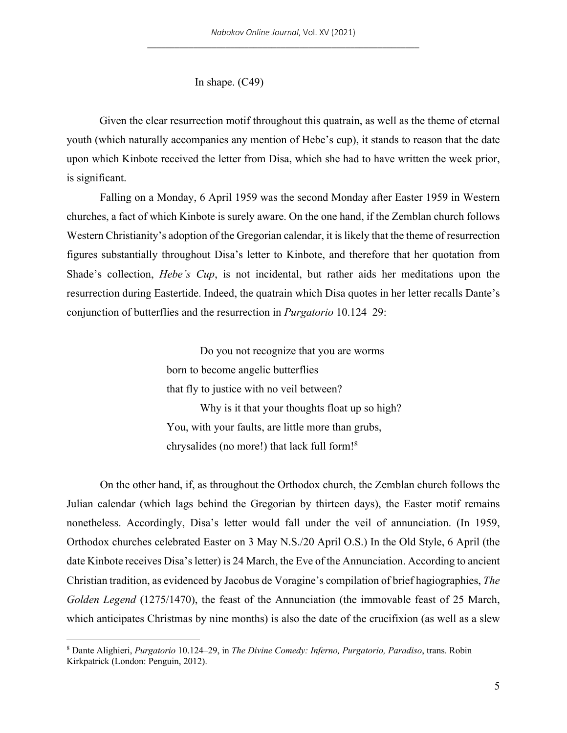In shape. (C49)

Given the clear resurrection motif throughout this quatrain, as well as the theme of eternal youth (which naturally accompanies any mention of Hebe's cup), it stands to reason that the date upon which Kinbote received the letter from Disa, which she had to have written the week prior, is significant.

Falling on a Monday, 6 April 1959 was the second Monday after Easter 1959 in Western churches, a fact of which Kinbote is surely aware. On the one hand, if the Zemblan church follows Western Christianity's adoption of the Gregorian calendar, it is likely that the theme of resurrection figures substantially throughout Disa's letter to Kinbote, and therefore that her quotation from Shade's collection, *Hebe's Cup*, is not incidental, but rather aids her meditations upon the resurrection during Eastertide. Indeed, the quatrain which Disa quotes in her letter recalls Dante's conjunction of butterflies and the resurrection in *Purgatorio* 10.124–29:

> Do you not recognize that you are worms born to become angelic butterflies that fly to justice with no veil between? Why is it that your thoughts float up so high? You, with your faults, are little more than grubs, chrysalides (no more!) that lack full form!8

On the other hand, if, as throughout the Orthodox church, the Zemblan church follows the Julian calendar (which lags behind the Gregorian by thirteen days), the Easter motif remains nonetheless. Accordingly, Disa's letter would fall under the veil of annunciation. (In 1959, Orthodox churches celebrated Easter on 3 May N.S./20 April O.S.) In the Old Style, 6 April (the date Kinbote receives Disa's letter) is 24 March, the Eve of the Annunciation. According to ancient Christian tradition, as evidenced by Jacobus de Voragine's compilation of brief hagiographies, *The Golden Legend* (1275/1470), the feast of the Annunciation (the immovable feast of 25 March, which anticipates Christmas by nine months) is also the date of the crucifixion (as well as a slew

<sup>8</sup> Dante Alighieri, *Purgatorio* 10.124–29, in *The Divine Comedy: Inferno, Purgatorio, Paradiso*, trans. Robin Kirkpatrick (London: Penguin, 2012).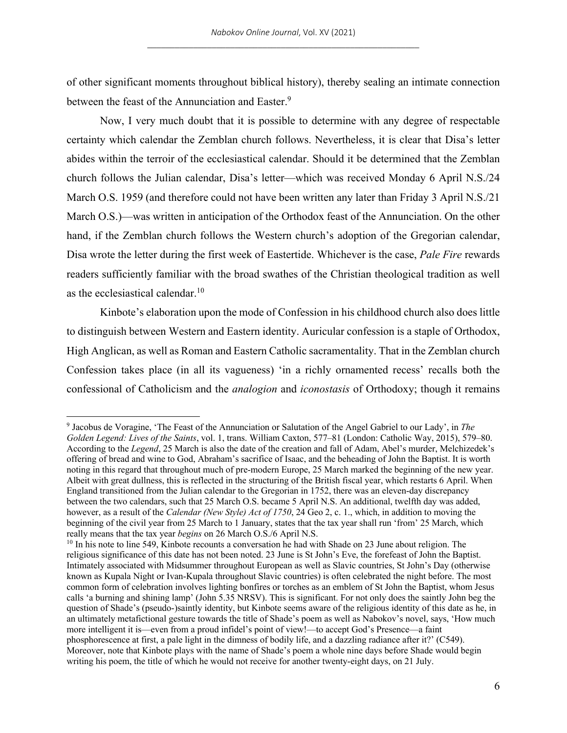of other significant moments throughout biblical history), thereby sealing an intimate connection between the feast of the Annunciation and Easter.<sup>9</sup>

Now, I very much doubt that it is possible to determine with any degree of respectable certainty which calendar the Zemblan church follows. Nevertheless, it is clear that Disa's letter abides within the terroir of the ecclesiastical calendar. Should it be determined that the Zemblan church follows the Julian calendar, Disa's letter—which was received Monday 6 April N.S./24 March O.S. 1959 (and therefore could not have been written any later than Friday 3 April N.S./21 March O.S.)—was written in anticipation of the Orthodox feast of the Annunciation. On the other hand, if the Zemblan church follows the Western church's adoption of the Gregorian calendar, Disa wrote the letter during the first week of Eastertide. Whichever is the case, *Pale Fire* rewards readers sufficiently familiar with the broad swathes of the Christian theological tradition as well as the ecclesiastical calendar.<sup>10</sup>

Kinbote's elaboration upon the mode of Confession in his childhood church also does little to distinguish between Western and Eastern identity. Auricular confession is a staple of Orthodox, High Anglican, as well as Roman and Eastern Catholic sacramentality. That in the Zemblan church Confession takes place (in all its vagueness) 'in a richly ornamented recess' recalls both the confessional of Catholicism and the *analogion* and *iconostasis* of Orthodoxy; though it remains

<sup>9</sup> Jacobus de Voragine, 'The Feast of the Annunciation or Salutation of the Angel Gabriel to our Lady', in *The Golden Legend: Lives of the Saints*, vol. 1, trans. William Caxton, 577–81 (London: Catholic Way, 2015), 579–80. According to the *Legend*, 25 March is also the date of the creation and fall of Adam, Abel's murder, Melchizedek's offering of bread and wine to God, Abraham's sacrifice of Isaac, and the beheading of John the Baptist. It is worth noting in this regard that throughout much of pre-modern Europe, 25 March marked the beginning of the new year. Albeit with great dullness, this is reflected in the structuring of the British fiscal year, which restarts 6 April. When England transitioned from the Julian calendar to the Gregorian in 1752, there was an eleven-day discrepancy between the two calendars, such that 25 March O.S. became 5 April N.S. An additional, twelfth day was added, however, as a result of the *Calendar (New Style) Act of 1750*, 24 Geo 2, c. 1., which, in addition to moving the beginning of the civil year from 25 March to 1 January, states that the tax year shall run 'from' 25 March, which really means that the tax year *begins* on 26 March O.S./6 April N.S.

<sup>&</sup>lt;sup>10</sup> In his note to line 549, Kinbote recounts a conversation he had with Shade on 23 June about religion. The religious significance of this date has not been noted. 23 June is St John's Eve, the forefeast of John the Baptist. Intimately associated with Midsummer throughout European as well as Slavic countries, St John's Day (otherwise known as Kupala Night or Ivan-Kupala throughout Slavic countries) is often celebrated the night before. The most common form of celebration involves lighting bonfires or torches as an emblem of St John the Baptist, whom Jesus calls 'a burning and shining lamp' (John 5.35 NRSV). This is significant. For not only does the saintly John beg the question of Shade's (pseudo-)saintly identity, but Kinbote seems aware of the religious identity of this date as he, in an ultimately metafictional gesture towards the title of Shade's poem as well as Nabokov's novel, says, 'How much more intelligent it is—even from a proud infidel's point of view!—to accept God's Presence—a faint phosphorescence at first, a pale light in the dimness of bodily life, and a dazzling radiance after it?' (C549). Moreover, note that Kinbote plays with the name of Shade's poem a whole nine days before Shade would begin writing his poem, the title of which he would not receive for another twenty-eight days, on 21 July.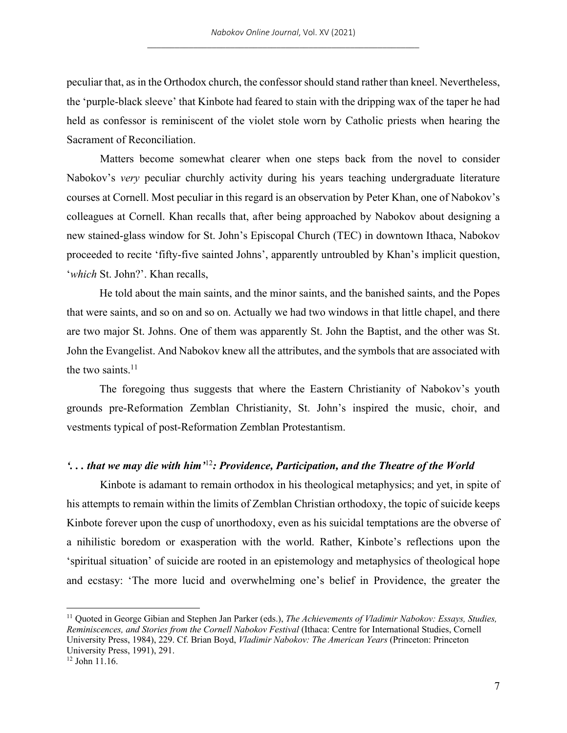peculiar that, as in the Orthodox church, the confessor should stand rather than kneel. Nevertheless, the 'purple-black sleeve' that Kinbote had feared to stain with the dripping wax of the taper he had held as confessor is reminiscent of the violet stole worn by Catholic priests when hearing the Sacrament of Reconciliation.

Matters become somewhat clearer when one steps back from the novel to consider Nabokov's *very* peculiar churchly activity during his years teaching undergraduate literature courses at Cornell. Most peculiar in this regard is an observation by Peter Khan, one of Nabokov's colleagues at Cornell. Khan recalls that, after being approached by Nabokov about designing a new stained-glass window for St. John's Episcopal Church (TEC) in downtown Ithaca, Nabokov proceeded to recite 'fifty-five sainted Johns', apparently untroubled by Khan's implicit question, '*which* St. John?'. Khan recalls,

He told about the main saints, and the minor saints, and the banished saints, and the Popes that were saints, and so on and so on. Actually we had two windows in that little chapel, and there are two major St. Johns. One of them was apparently St. John the Baptist, and the other was St. John the Evangelist. And Nabokov knew all the attributes, and the symbols that are associated with the two saints. $11$ 

The foregoing thus suggests that where the Eastern Christianity of Nabokov's youth grounds pre-Reformation Zemblan Christianity, St. John's inspired the music, choir, and vestments typical of post-Reformation Zemblan Protestantism.

## *'. . . that we may die with him'*<sup>12</sup>*: Providence, Participation, and the Theatre of the World*

Kinbote is adamant to remain orthodox in his theological metaphysics; and yet, in spite of his attempts to remain within the limits of Zemblan Christian orthodoxy, the topic of suicide keeps Kinbote forever upon the cusp of unorthodoxy, even as his suicidal temptations are the obverse of a nihilistic boredom or exasperation with the world. Rather, Kinbote's reflections upon the 'spiritual situation' of suicide are rooted in an epistemology and metaphysics of theological hope and ecstasy: 'The more lucid and overwhelming one's belief in Providence, the greater the

<sup>11</sup> Quoted in George Gibian and Stephen Jan Parker (eds.), *The Achievements of Vladimir Nabokov: Essays, Studies, Reminiscences, and Stories from the Cornell Nabokov Festival* (Ithaca: Centre for International Studies, Cornell University Press, 1984), 229. Cf. Brian Boyd, *Vladimir Nabokov: The American Years* (Princeton: Princeton University Press, 1991), 291.

<sup>12</sup> John 11.16.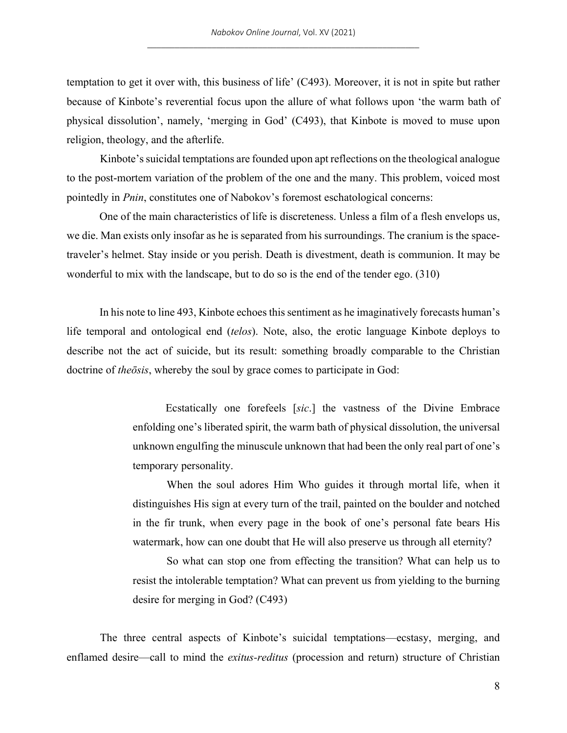temptation to get it over with, this business of life' (C493). Moreover, it is not in spite but rather because of Kinbote's reverential focus upon the allure of what follows upon 'the warm bath of physical dissolution', namely, 'merging in God' (C493), that Kinbote is moved to muse upon religion, theology, and the afterlife.

Kinbote's suicidal temptations are founded upon apt reflections on the theological analogue to the post-mortem variation of the problem of the one and the many. This problem, voiced most pointedly in *Pnin*, constitutes one of Nabokov's foremost eschatological concerns:

One of the main characteristics of life is discreteness. Unless a film of a flesh envelops us, we die. Man exists only insofar as he is separated from his surroundings. The cranium is the spacetraveler's helmet. Stay inside or you perish. Death is divestment, death is communion. It may be wonderful to mix with the landscape, but to do so is the end of the tender ego. (310)

In his note to line 493, Kinbote echoes this sentiment as he imaginatively forecasts human's life temporal and ontological end (*telos*). Note, also, the erotic language Kinbote deploys to describe not the act of suicide, but its result: something broadly comparable to the Christian doctrine of *theōsis*, whereby the soul by grace comes to participate in God:

> Ecstatically one forefeels [*sic*.] the vastness of the Divine Embrace enfolding one's liberated spirit, the warm bath of physical dissolution, the universal unknown engulfing the minuscule unknown that had been the only real part of one's temporary personality.

> When the soul adores Him Who guides it through mortal life, when it distinguishes His sign at every turn of the trail, painted on the boulder and notched in the fir trunk, when every page in the book of one's personal fate bears His watermark, how can one doubt that He will also preserve us through all eternity?

> So what can stop one from effecting the transition? What can help us to resist the intolerable temptation? What can prevent us from yielding to the burning desire for merging in God? (C493)

The three central aspects of Kinbote's suicidal temptations—ecstasy, merging, and enflamed desire—call to mind the *exitus-reditus* (procession and return) structure of Christian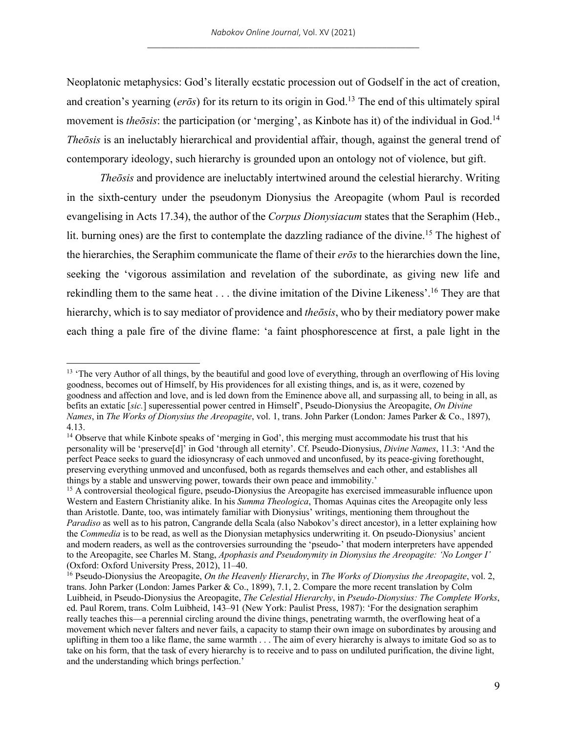Neoplatonic metaphysics: God's literally ecstatic procession out of Godself in the act of creation, and creation's yearning ( $er\bar{\sigma}s$ ) for its return to its origin in God.<sup>13</sup> The end of this ultimately spiral movement is *theōsis*: the participation (or 'merging', as Kinbote has it) of the individual in God.<sup>14</sup> *Theōsis* is an ineluctably hierarchical and providential affair, though, against the general trend of contemporary ideology, such hierarchy is grounded upon an ontology not of violence, but gift.

*Theōsis* and providence are ineluctably intertwined around the celestial hierarchy. Writing in the sixth-century under the pseudonym Dionysius the Areopagite (whom Paul is recorded evangelising in Acts 17.34), the author of the *Corpus Dionysiacum* states that the Seraphim (Heb., lit. burning ones) are the first to contemplate the dazzling radiance of the divine.<sup>15</sup> The highest of the hierarchies, the Seraphim communicate the flame of their *erōs* to the hierarchies down the line, seeking the 'vigorous assimilation and revelation of the subordinate, as giving new life and rekindling them to the same heat . . . the divine imitation of the Divine Likeness'.16 They are that hierarchy, which is to say mediator of providence and *theōsis*, who by their mediatory power make each thing a pale fire of the divine flame: 'a faint phosphorescence at first, a pale light in the

<sup>&</sup>lt;sup>13</sup> 'The very Author of all things, by the beautiful and good love of everything, through an overflowing of His loving goodness, becomes out of Himself, by His providences for all existing things, and is, as it were, cozened by goodness and affection and love, and is led down from the Eminence above all, and surpassing all, to being in all, as befits an extatic [*sic.*] superessential power centred in Himself', Pseudo-Dionysius the Areopagite, *On Divine Names*, in *The Works of Dionysius the Areopagite*, vol. 1, trans. John Parker (London: James Parker & Co., 1897), 4.13.

<sup>&</sup>lt;sup>14</sup> Observe that while Kinbote speaks of 'merging in God', this merging must accommodate his trust that his personality will be 'preserve[d]' in God 'through all eternity'. Cf. Pseudo-Dionysius, *Divine Names*, 11.3: 'And the perfect Peace seeks to guard the idiosyncrasy of each unmoved and unconfused, by its peace-giving forethought, preserving everything unmoved and unconfused, both as regards themselves and each other, and establishes all things by a stable and unswerving power, towards their own peace and immobility.'

<sup>&</sup>lt;sup>15</sup> A controversial theological figure, pseudo-Dionysius the Areopagite has exercised immeasurable influence upon Western and Eastern Christianity alike. In his *Summa Theologica*, Thomas Aquinas cites the Areopagite only less than Aristotle. Dante, too, was intimately familiar with Dionysius' writings, mentioning them throughout the *Paradiso* as well as to his patron, Cangrande della Scala (also Nabokov's direct ancestor), in a letter explaining how the *Commedia* is to be read, as well as the Dionysian metaphysics underwriting it. On pseudo-Dionysius' ancient and modern readers, as well as the controversies surrounding the 'pseudo-' that modern interpreters have appended to the Areopagite, see Charles M. Stang, *Apophasis and Pseudonymity in Dionysius the Areopagite: 'No Longer I'* (Oxford: Oxford University Press, 2012), 11–40.

<sup>16</sup> Pseudo-Dionysius the Areopagite, *On the Heavenly Hierarchy*, in *The Works of Dionysius the Areopagite*, vol. 2, trans. John Parker (London: James Parker & Co., 1899), 7.1, 2. Compare the more recent translation by Colm Luibheid, in Pseudo-Dionysius the Areopagite, *The Celestial Hierarchy*, in *Pseudo-Dionysius: The Complete Works*, ed. Paul Rorem, trans. Colm Luibheid, 143–91 (New York: Paulist Press, 1987): 'For the designation seraphim really teaches this—a perennial circling around the divine things, penetrating warmth, the overflowing heat of a movement which never falters and never fails, a capacity to stamp their own image on subordinates by arousing and uplifting in them too a like flame, the same warmth . . . The aim of every hierarchy is always to imitate God so as to take on his form, that the task of every hierarchy is to receive and to pass on undiluted purification, the divine light, and the understanding which brings perfection.'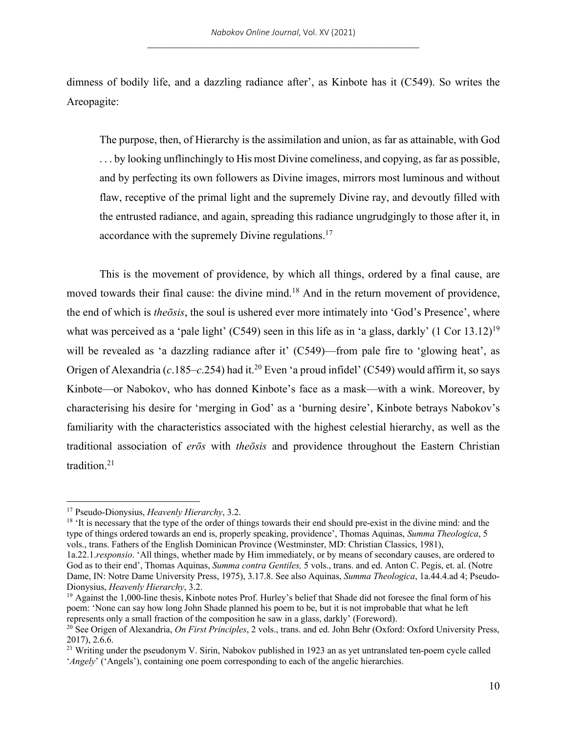dimness of bodily life, and a dazzling radiance after', as Kinbote has it (C549). So writes the Areopagite:

The purpose, then, of Hierarchy is the assimilation and union, as far as attainable, with God . . . by looking unflinchingly to His most Divine comeliness, and copying, as far as possible, and by perfecting its own followers as Divine images, mirrors most luminous and without flaw, receptive of the primal light and the supremely Divine ray, and devoutly filled with the entrusted radiance, and again, spreading this radiance ungrudgingly to those after it, in accordance with the supremely Divine regulations.<sup>17</sup>

This is the movement of providence, by which all things, ordered by a final cause, are moved towards their final cause: the divine mind.<sup>18</sup> And in the return movement of providence, the end of which is *theōsis*, the soul is ushered ever more intimately into 'God's Presence', where what was perceived as a 'pale light' (C549) seen in this life as in 'a glass, darkly' (1 Cor 13.12)<sup>19</sup> will be revealed as 'a dazzling radiance after it' (C549)—from pale fire to 'glowing heat', as Origen of Alexandria (*c*.185–*c*.254) had it.20 Even 'a proud infidel' (C549) would affirm it, so says Kinbote—or Nabokov, who has donned Kinbote's face as a mask—with a wink. Moreover, by characterising his desire for 'merging in God' as a 'burning desire', Kinbote betrays Nabokov's familiarity with the characteristics associated with the highest celestial hierarchy, as well as the traditional association of *erōs* with *theōsis* and providence throughout the Eastern Christian tradition.21

<sup>18</sup> 'It is necessary that the type of the order of things towards their end should pre-exist in the divine mind: and the type of things ordered towards an end is, properly speaking, providence', Thomas Aquinas, *Summa Theologica*, 5 vols., trans. Fathers of the English Dominican Province (Westminster, MD: Christian Classics, 1981),

<sup>17</sup> Pseudo-Dionysius, *Heavenly Hierarchy*, 3.2.

<sup>1</sup>a.22.1.*responsio*. 'All things, whether made by Him immediately, or by means of secondary causes, are ordered to God as to their end', Thomas Aquinas, *Summa contra Gentiles,* 5 vols., trans. and ed. Anton C. Pegis, et. al. (Notre Dame, IN: Notre Dame University Press, 1975), 3.17.8. See also Aquinas, *Summa Theologica*, 1a.44.4.ad 4; Pseudo-Dionysius, *Heavenly Hierarchy*, 3.2.

 $19$  Against the 1,000-line thesis, Kinbote notes Prof. Hurley's belief that Shade did not foresee the final form of his poem: 'None can say how long John Shade planned his poem to be, but it is not improbable that what he left represents only a small fraction of the composition he saw in a glass, darkly' (Foreword).

<sup>20</sup> See Origen of Alexandria, *On First Principles*, 2 vols., trans. and ed. John Behr (Oxford: Oxford University Press, 2017), 2.6.6.

<sup>&</sup>lt;sup>21</sup> Writing under the pseudonym V. Sirin, Nabokov published in 1923 an as yet untranslated ten-poem cycle called '*Angely*' ('Angels'), containing one poem corresponding to each of the angelic hierarchies.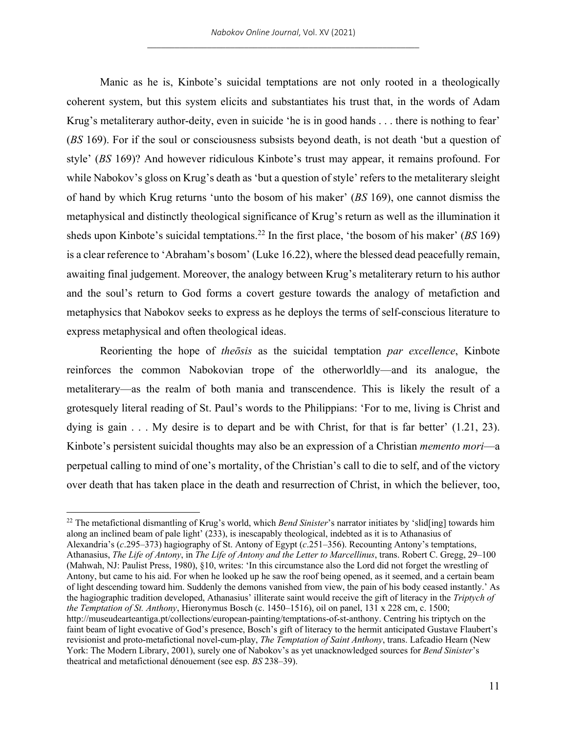Manic as he is, Kinbote's suicidal temptations are not only rooted in a theologically coherent system, but this system elicits and substantiates his trust that, in the words of Adam Krug's metaliterary author-deity, even in suicide 'he is in good hands . . . there is nothing to fear' (*BS* 169). For if the soul or consciousness subsists beyond death, is not death 'but a question of style' (*BS* 169)? And however ridiculous Kinbote's trust may appear, it remains profound. For while Nabokov's gloss on Krug's death as 'but a question of style' refers to the metaliterary sleight of hand by which Krug returns 'unto the bosom of his maker' (*BS* 169), one cannot dismiss the metaphysical and distinctly theological significance of Krug's return as well as the illumination it sheds upon Kinbote's suicidal temptations.22 In the first place, 'the bosom of his maker' (*BS* 169) is a clear reference to 'Abraham's bosom' (Luke 16.22), where the blessed dead peacefully remain, awaiting final judgement. Moreover, the analogy between Krug's metaliterary return to his author and the soul's return to God forms a covert gesture towards the analogy of metafiction and metaphysics that Nabokov seeks to express as he deploys the terms of self-conscious literature to express metaphysical and often theological ideas.

Reorienting the hope of *theōsis* as the suicidal temptation *par excellence*, Kinbote reinforces the common Nabokovian trope of the otherworldly—and its analogue, the metaliterary—as the realm of both mania and transcendence. This is likely the result of a grotesquely literal reading of St. Paul's words to the Philippians: 'For to me, living is Christ and dying is gain  $\dots$ . My desire is to depart and be with Christ, for that is far better'  $(1.21, 23)$ . Kinbote's persistent suicidal thoughts may also be an expression of a Christian *memento mori*—a perpetual calling to mind of one's mortality, of the Christian's call to die to self, and of the victory over death that has taken place in the death and resurrection of Christ, in which the believer, too,

<sup>&</sup>lt;sup>22</sup> The metafictional dismantling of Krug's world, which *Bend Sinister*'s narrator initiates by 'slid[ing] towards him along an inclined beam of pale light' (233), is inescapably theological, indebted as it is to Athanasius of Alexandria's (*c*.295–373) hagiography of St. Antony of Egypt (*c*.251–356). Recounting Antony's temptations, Athanasius, *The Life of Antony*, in *The Life of Antony and the Letter to Marcellinus*, trans. Robert C. Gregg, 29–100 (Mahwah, NJ: Paulist Press, 1980), §10, writes: 'In this circumstance also the Lord did not forget the wrestling of Antony, but came to his aid. For when he looked up he saw the roof being opened, as it seemed, and a certain beam of light descending toward him. Suddenly the demons vanished from view, the pain of his body ceased instantly.' As the hagiographic tradition developed, Athanasius' illiterate saint would receive the gift of literacy in the *Triptych of the Temptation of St. Anthony*, Hieronymus Bosch (c. 1450–1516), oil on panel, 131 x 228 cm, c. 1500; http://museudearteantiga.pt/collections/european-painting/temptations-of-st-anthony. Centring his triptych on the faint beam of light evocative of God's presence, Bosch's gift of literacy to the hermit anticipated Gustave Flaubert's revisionist and proto-metafictional novel-cum-play, *The Temptation of Saint Anthony*, trans. Lafcadio Hearn (New York: The Modern Library, 2001), surely one of Nabokov's as yet unacknowledged sources for *Bend Sinister*'s theatrical and metafictional dénouement (see esp. *BS* 238–39).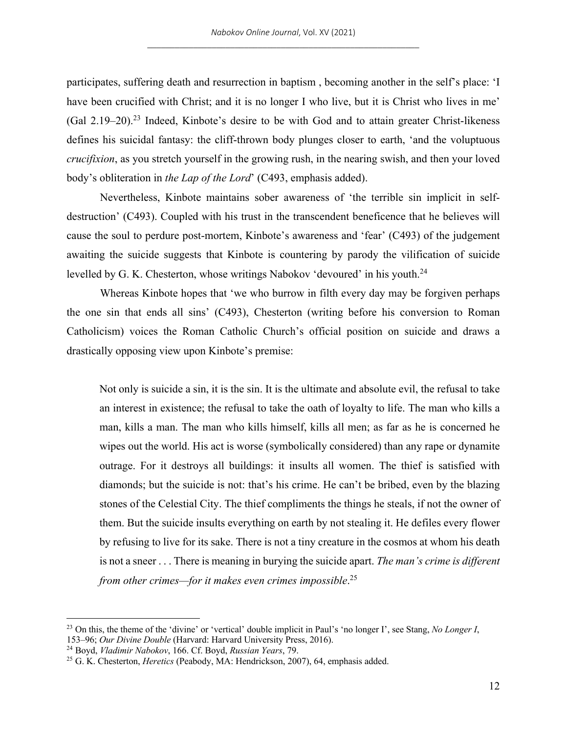participates, suffering death and resurrection in baptism , becoming another in the self's place: 'I have been crucified with Christ; and it is no longer I who live, but it is Christ who lives in me'  $(Gal 2.19–20).^{23}$  Indeed, Kinbote's desire to be with God and to attain greater Christ-likeness defines his suicidal fantasy: the cliff-thrown body plunges closer to earth, 'and the voluptuous *crucifixion*, as you stretch yourself in the growing rush, in the nearing swish, and then your loved body's obliteration in *the Lap of the Lord*' (C493, emphasis added).

Nevertheless, Kinbote maintains sober awareness of 'the terrible sin implicit in selfdestruction' (C493). Coupled with his trust in the transcendent beneficence that he believes will cause the soul to perdure post-mortem, Kinbote's awareness and 'fear' (C493) of the judgement awaiting the suicide suggests that Kinbote is countering by parody the vilification of suicide levelled by G. K. Chesterton, whose writings Nabokov 'devoured' in his youth.<sup>24</sup>

Whereas Kinbote hopes that 'we who burrow in filth every day may be forgiven perhaps the one sin that ends all sins' (C493), Chesterton (writing before his conversion to Roman Catholicism) voices the Roman Catholic Church's official position on suicide and draws a drastically opposing view upon Kinbote's premise:

Not only is suicide a sin, it is the sin. It is the ultimate and absolute evil, the refusal to take an interest in existence; the refusal to take the oath of loyalty to life. The man who kills a man, kills a man. The man who kills himself, kills all men; as far as he is concerned he wipes out the world. His act is worse (symbolically considered) than any rape or dynamite outrage. For it destroys all buildings: it insults all women. The thief is satisfied with diamonds; but the suicide is not: that's his crime. He can't be bribed, even by the blazing stones of the Celestial City. The thief compliments the things he steals, if not the owner of them. But the suicide insults everything on earth by not stealing it. He defiles every flower by refusing to live for its sake. There is not a tiny creature in the cosmos at whom his death is not a sneer . . . There is meaning in burying the suicide apart. *The man's crime is different from other crimes—for it makes even crimes impossible*. 25

<sup>23</sup> On this, the theme of the 'divine' or 'vertical' double implicit in Paul's 'no longer I', see Stang, *No Longer I*, 153–96; *Our Divine Double* (Harvard: Harvard University Press, 2016).

<sup>24</sup> Boyd, *Vladimir Nabokov*, 166. Cf. Boyd, *Russian Years*, 79.

<sup>25</sup> G. K. Chesterton, *Heretics* (Peabody, MA: Hendrickson, 2007), 64, emphasis added.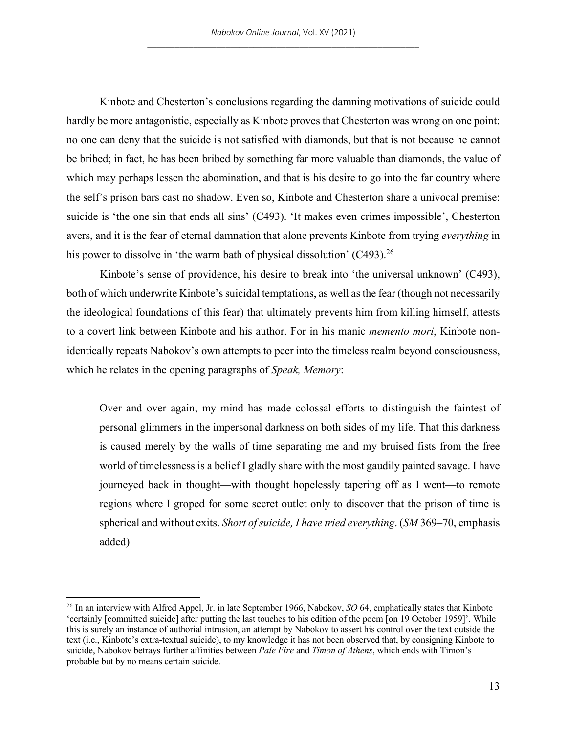Kinbote and Chesterton's conclusions regarding the damning motivations of suicide could hardly be more antagonistic, especially as Kinbote proves that Chesterton was wrong on one point: no one can deny that the suicide is not satisfied with diamonds, but that is not because he cannot be bribed; in fact, he has been bribed by something far more valuable than diamonds, the value of which may perhaps lessen the abomination, and that is his desire to go into the far country where the self's prison bars cast no shadow. Even so, Kinbote and Chesterton share a univocal premise: suicide is 'the one sin that ends all sins' (C493). 'It makes even crimes impossible', Chesterton avers, and it is the fear of eternal damnation that alone prevents Kinbote from trying *everything* in his power to dissolve in 'the warm bath of physical dissolution'  $(C493)$ <sup>26</sup>

Kinbote's sense of providence, his desire to break into 'the universal unknown' (C493), both of which underwrite Kinbote's suicidal temptations, as well as the fear (though not necessarily the ideological foundations of this fear) that ultimately prevents him from killing himself, attests to a covert link between Kinbote and his author. For in his manic *memento mori*, Kinbote nonidentically repeats Nabokov's own attempts to peer into the timeless realm beyond consciousness, which he relates in the opening paragraphs of *Speak, Memory*:

Over and over again, my mind has made colossal efforts to distinguish the faintest of personal glimmers in the impersonal darkness on both sides of my life. That this darkness is caused merely by the walls of time separating me and my bruised fists from the free world of timelessness is a belief I gladly share with the most gaudily painted savage. I have journeyed back in thought—with thought hopelessly tapering off as I went—to remote regions where I groped for some secret outlet only to discover that the prison of time is spherical and without exits. *Short of suicide, I have tried everything*. (*SM* 369–70, emphasis added)

<sup>26</sup> In an interview with Alfred Appel, Jr. in late September 1966, Nabokov, *SO* 64, emphatically states that Kinbote 'certainly [committed suicide] after putting the last touches to his edition of the poem [on 19 October 1959]'. While this is surely an instance of authorial intrusion, an attempt by Nabokov to assert his control over the text outside the text (i.e., Kinbote's extra-textual suicide), to my knowledge it has not been observed that, by consigning Kinbote to suicide, Nabokov betrays further affinities between *Pale Fire* and *Timon of Athens*, which ends with Timon's probable but by no means certain suicide.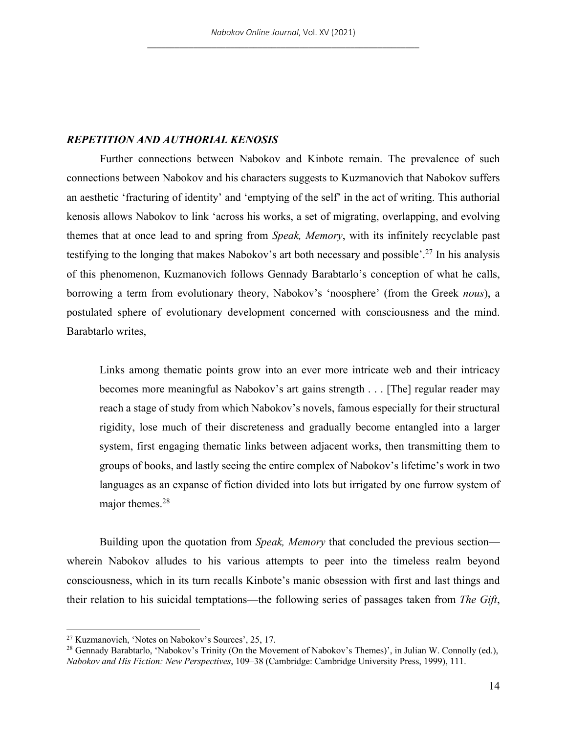## *REPETITION AND AUTHORIAL KENOSIS*

Further connections between Nabokov and Kinbote remain. The prevalence of such connections between Nabokov and his characters suggests to Kuzmanovich that Nabokov suffers an aesthetic 'fracturing of identity' and 'emptying of the self' in the act of writing. This authorial kenosis allows Nabokov to link 'across his works, a set of migrating, overlapping, and evolving themes that at once lead to and spring from *Speak, Memory*, with its infinitely recyclable past testifying to the longing that makes Nabokov's art both necessary and possible'.27 In his analysis of this phenomenon, Kuzmanovich follows Gennady Barabtarlo's conception of what he calls, borrowing a term from evolutionary theory, Nabokov's 'noosphere' (from the Greek *nous*), a postulated sphere of evolutionary development concerned with consciousness and the mind. Barabtarlo writes,

Links among thematic points grow into an ever more intricate web and their intricacy becomes more meaningful as Nabokov's art gains strength . . . [The] regular reader may reach a stage of study from which Nabokov's novels, famous especially for their structural rigidity, lose much of their discreteness and gradually become entangled into a larger system, first engaging thematic links between adjacent works, then transmitting them to groups of books, and lastly seeing the entire complex of Nabokov's lifetime's work in two languages as an expanse of fiction divided into lots but irrigated by one furrow system of major themes.28

Building upon the quotation from *Speak, Memory* that concluded the previous section wherein Nabokov alludes to his various attempts to peer into the timeless realm beyond consciousness, which in its turn recalls Kinbote's manic obsession with first and last things and their relation to his suicidal temptations—the following series of passages taken from *The Gift*,

<sup>27</sup> Kuzmanovich, 'Notes on Nabokov's Sources', 25, 17.

<sup>&</sup>lt;sup>28</sup> Gennady Barabtarlo, 'Nabokov's Trinity (On the Movement of Nabokov's Themes)', in Julian W. Connolly (ed.), *Nabokov and His Fiction: New Perspectives*, 109–38 (Cambridge: Cambridge University Press, 1999), 111.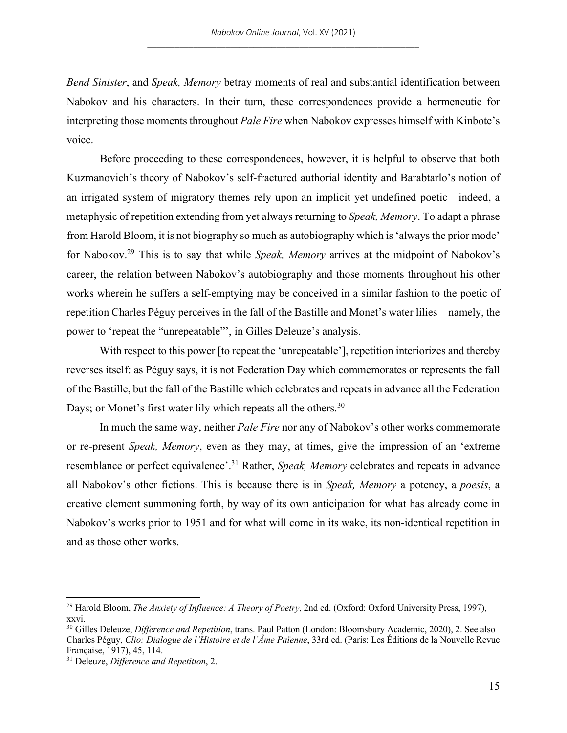*Bend Sinister*, and *Speak, Memory* betray moments of real and substantial identification between Nabokov and his characters. In their turn, these correspondences provide a hermeneutic for interpreting those moments throughout *Pale Fire* when Nabokov expresses himself with Kinbote's voice.

Before proceeding to these correspondences, however, it is helpful to observe that both Kuzmanovich's theory of Nabokov's self-fractured authorial identity and Barabtarlo's notion of an irrigated system of migratory themes rely upon an implicit yet undefined poetic—indeed, a metaphysic of repetition extending from yet always returning to *Speak, Memory*. To adapt a phrase from Harold Bloom, it is not biography so much as autobiography which is 'always the prior mode' for Nabokov.29 This is to say that while *Speak, Memory* arrives at the midpoint of Nabokov's career, the relation between Nabokov's autobiography and those moments throughout his other works wherein he suffers a self-emptying may be conceived in a similar fashion to the poetic of repetition Charles Péguy perceives in the fall of the Bastille and Monet's water lilies—namely, the power to 'repeat the "unrepeatable"', in Gilles Deleuze's analysis.

With respect to this power [to repeat the 'unrepeatable'], repetition interiorizes and thereby reverses itself: as Péguy says, it is not Federation Day which commemorates or represents the fall of the Bastille, but the fall of the Bastille which celebrates and repeats in advance all the Federation Days; or Monet's first water lily which repeats all the others.<sup>30</sup>

In much the same way, neither *Pale Fire* nor any of Nabokov's other works commemorate or re-present *Speak, Memory*, even as they may, at times, give the impression of an 'extreme resemblance or perfect equivalence'.31 Rather, *Speak, Memory* celebrates and repeats in advance all Nabokov's other fictions. This is because there is in *Speak, Memory* a potency, a *poesis*, a creative element summoning forth, by way of its own anticipation for what has already come in Nabokov's works prior to 1951 and for what will come in its wake, its non-identical repetition in and as those other works.

<sup>29</sup> Harold Bloom, *The Anxiety of Influence: A Theory of Poetry*, 2nd ed. (Oxford: Oxford University Press, 1997), xxvi.

<sup>30</sup> Gilles Deleuze, *Difference and Repetition*, trans. Paul Patton (London: Bloomsbury Academic, 2020), 2. See also Charles Péguy, *Clio: Dialogue de l'Histoire et de l'Âme Païenne*, 33rd ed. (Paris: Les Éditions de la Nouvelle Revue Française, 1917), 45, 114.

<sup>31</sup> Deleuze, *Difference and Repetition*, 2.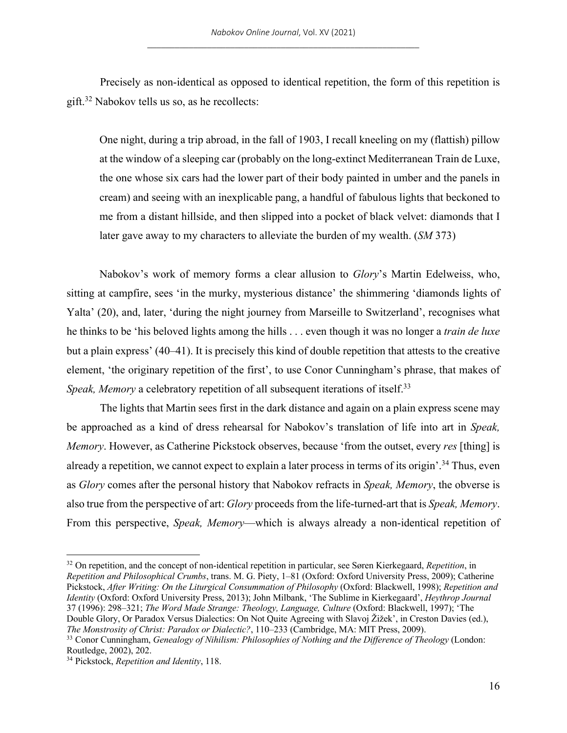Precisely as non-identical as opposed to identical repetition, the form of this repetition is gift.32 Nabokov tells us so, as he recollects:

One night, during a trip abroad, in the fall of 1903, I recall kneeling on my (flattish) pillow at the window of a sleeping car (probably on the long-extinct Mediterranean Train de Luxe, the one whose six cars had the lower part of their body painted in umber and the panels in cream) and seeing with an inexplicable pang, a handful of fabulous lights that beckoned to me from a distant hillside, and then slipped into a pocket of black velvet: diamonds that I later gave away to my characters to alleviate the burden of my wealth. (*SM* 373)

Nabokov's work of memory forms a clear allusion to *Glory*'s Martin Edelweiss, who, sitting at campfire, sees 'in the murky, mysterious distance' the shimmering 'diamonds lights of Yalta' (20), and, later, 'during the night journey from Marseille to Switzerland', recognises what he thinks to be 'his beloved lights among the hills . . . even though it was no longer a *train de luxe* but a plain express' (40–41). It is precisely this kind of double repetition that attests to the creative element, 'the originary repetition of the first', to use Conor Cunningham's phrase, that makes of *Speak, Memory* a celebratory repetition of all subsequent iterations of itself.<sup>33</sup>

The lights that Martin sees first in the dark distance and again on a plain express scene may be approached as a kind of dress rehearsal for Nabokov's translation of life into art in *Speak, Memory*. However, as Catherine Pickstock observes, because 'from the outset, every *res* [thing] is already a repetition, we cannot expect to explain a later process in terms of its origin'.<sup>34</sup> Thus, even as *Glory* comes after the personal history that Nabokov refracts in *Speak, Memory*, the obverse is also true from the perspective of art: *Glory* proceeds from the life-turned-art that is *Speak, Memory*. From this perspective, *Speak, Memory*—which is always already a non-identical repetition of

<sup>32</sup> On repetition, and the concept of non-identical repetition in particular, see Søren Kierkegaard, *Repetition*, in *Repetition and Philosophical Crumbs*, trans. M. G. Piety, 1–81 (Oxford: Oxford University Press, 2009); Catherine Pickstock, *After Writing: On the Liturgical Consummation of Philosophy* (Oxford: Blackwell, 1998); *Repetition and Identity* (Oxford: Oxford University Press, 2013); John Milbank, 'The Sublime in Kierkegaard', *Heythrop Journal* 37 (1996): 298–321; *The Word Made Strange: Theology, Language, Culture* (Oxford: Blackwell, 1997); 'The Double Glory, Or Paradox Versus Dialectics: On Not Quite Agreeing with Slavoj Žižek', in Creston Davies (ed.), *The Monstrosity of Christ: Paradox or Dialectic?*, 110–233 (Cambridge, MA: MIT Press, 2009).

<sup>33</sup> Conor Cunningham, *Genealogy of Nihilism: Philosophies of Nothing and the Difference of Theology* (London: Routledge, 2002), 202.

<sup>34</sup> Pickstock, *Repetition and Identity*, 118.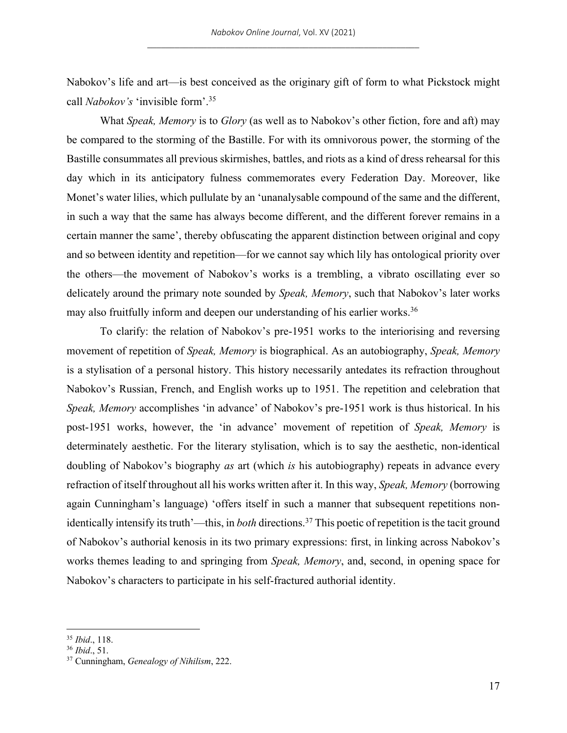Nabokov's life and art—is best conceived as the originary gift of form to what Pickstock might call *Nabokov's* 'invisible form'.35

What *Speak, Memory* is to *Glory* (as well as to Nabokov's other fiction, fore and aft) may be compared to the storming of the Bastille. For with its omnivorous power, the storming of the Bastille consummates all previous skirmishes, battles, and riots as a kind of dress rehearsal for this day which in its anticipatory fulness commemorates every Federation Day. Moreover, like Monet's water lilies, which pullulate by an 'unanalysable compound of the same and the different, in such a way that the same has always become different, and the different forever remains in a certain manner the same', thereby obfuscating the apparent distinction between original and copy and so between identity and repetition—for we cannot say which lily has ontological priority over the others—the movement of Nabokov's works is a trembling, a vibrato oscillating ever so delicately around the primary note sounded by *Speak, Memory*, such that Nabokov's later works may also fruitfully inform and deepen our understanding of his earlier works.<sup>36</sup>

To clarify: the relation of Nabokov's pre-1951 works to the interiorising and reversing movement of repetition of *Speak, Memory* is biographical. As an autobiography, *Speak, Memory* is a stylisation of a personal history. This history necessarily antedates its refraction throughout Nabokov's Russian, French, and English works up to 1951. The repetition and celebration that *Speak, Memory* accomplishes 'in advance' of Nabokov's pre-1951 work is thus historical. In his post-1951 works, however, the 'in advance' movement of repetition of *Speak, Memory* is determinately aesthetic. For the literary stylisation, which is to say the aesthetic, non-identical doubling of Nabokov's biography *as* art (which *is* his autobiography) repeats in advance every refraction of itself throughout all his works written after it. In this way, *Speak, Memory* (borrowing again Cunningham's language) 'offers itself in such a manner that subsequent repetitions nonidentically intensify its truth'—this, in *both* directions.37 This poetic of repetition is the tacit ground of Nabokov's authorial kenosis in its two primary expressions: first, in linking across Nabokov's works themes leading to and springing from *Speak, Memory*, and, second, in opening space for Nabokov's characters to participate in his self-fractured authorial identity.

<sup>35</sup> *Ibid*., 118.

<sup>36</sup> *Ibid*., 51.

<sup>37</sup> Cunningham, *Genealogy of Nihilism*, 222.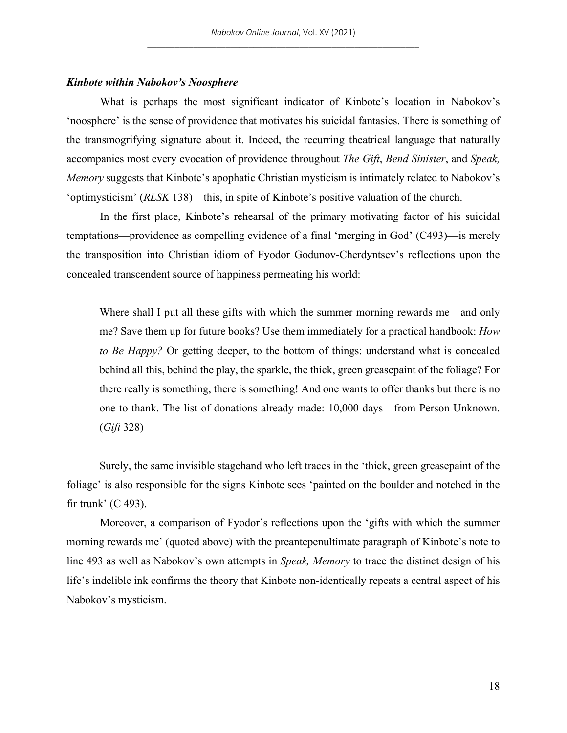#### *Kinbote within Nabokov's Noosphere*

What is perhaps the most significant indicator of Kinbote's location in Nabokov's 'noosphere' is the sense of providence that motivates his suicidal fantasies. There is something of the transmogrifying signature about it. Indeed, the recurring theatrical language that naturally accompanies most every evocation of providence throughout *The Gift*, *Bend Sinister*, and *Speak, Memory* suggests that Kinbote's apophatic Christian mysticism is intimately related to Nabokov's 'optimysticism' (*RLSK* 138)—this, in spite of Kinbote's positive valuation of the church.

In the first place, Kinbote's rehearsal of the primary motivating factor of his suicidal temptations—providence as compelling evidence of a final 'merging in God' (C493)—is merely the transposition into Christian idiom of Fyodor Godunov-Cherdyntsev's reflections upon the concealed transcendent source of happiness permeating his world:

Where shall I put all these gifts with which the summer morning rewards me—and only me? Save them up for future books? Use them immediately for a practical handbook: *How to Be Happy?* Or getting deeper, to the bottom of things: understand what is concealed behind all this, behind the play, the sparkle, the thick, green greasepaint of the foliage? For there really is something, there is something! And one wants to offer thanks but there is no one to thank. The list of donations already made: 10,000 days—from Person Unknown. (*Gift* 328)

Surely, the same invisible stagehand who left traces in the 'thick, green greasepaint of the foliage' is also responsible for the signs Kinbote sees 'painted on the boulder and notched in the fir trunk' (C 493).

Moreover, a comparison of Fyodor's reflections upon the 'gifts with which the summer morning rewards me' (quoted above) with the preantepenultimate paragraph of Kinbote's note to line 493 as well as Nabokov's own attempts in *Speak, Memory* to trace the distinct design of his life's indelible ink confirms the theory that Kinbote non-identically repeats a central aspect of his Nabokov's mysticism.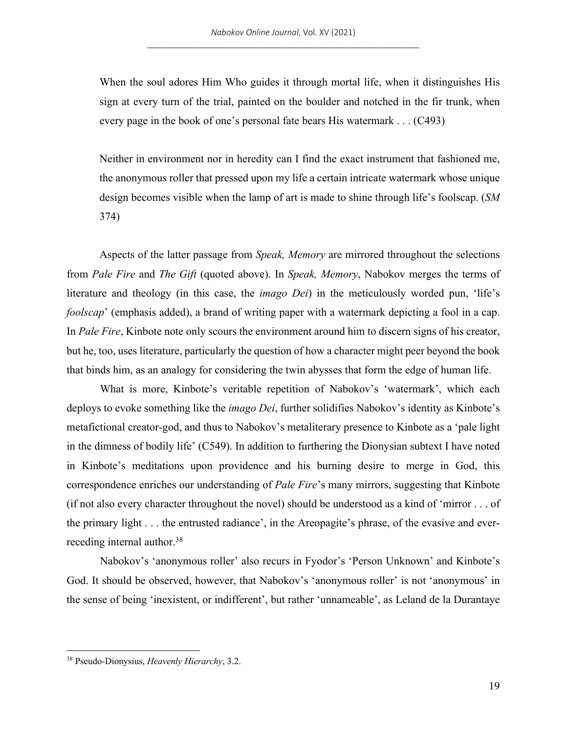When the soul adores Him Who guides it through mortal life, when it distinguishes His sign at every turn of the trial, painted on the boulder and notched in the fir trunk, when every page in the book of one's personal fate bears His watermark . . . (C493)

Neither in environment nor in heredity can I find the exact instrument that fashioned me, the anonymous roller that pressed upon my life a certain intricate watermark whose unique design becomes visible when the lamp of art is made to shine through life's foolscap. (*SM* 374)

Aspects of the latter passage from *Speak, Memory* are mirrored throughout the selections from *Pale Fire* and *The Gift* (quoted above). In *Speak, Memory*, Nabokov merges the terms of literature and theology (in this case, the *imago Dei*) in the meticulously worded pun, 'life's *foolscap*' (emphasis added), a brand of writing paper with a watermark depicting a fool in a cap. In *Pale Fire*, Kinbote note only scours the environment around him to discern signs of his creator, but he, too, uses literature, particularly the question of how a character might peer beyond the book that binds him, as an analogy for considering the twin abysses that form the edge of human life.

What is more, Kinbote's veritable repetition of Nabokov's 'watermark', which each deploys to evoke something like the *imago Dei*, further solidifies Nabokov's identity as Kinbote's metafictional creator-god, and thus to Nabokov's metaliterary presence to Kinbote as a 'pale light in the dimness of bodily life' (C549). In addition to furthering the Dionysian subtext I have noted in Kinbote's meditations upon providence and his burning desire to merge in God, this correspondence enriches our understanding of *Pale Fire*'s many mirrors, suggesting that Kinbote (if not also every character throughout the novel) should be understood as a kind of 'mirror . . . of the primary light . . . the entrusted radiance', in the Areopagite's phrase, of the evasive and everreceding internal author.38

Nabokov's 'anonymous roller' also recurs in Fyodor's 'Person Unknown' and Kinbote's God. It should be observed, however, that Nabokov's 'anonymous roller' is not 'anonymous' in the sense of being 'inexistent, or indifferent', but rather 'unnameable', as Leland de la Durantaye

<sup>38</sup> Pseudo-Dionysius, *Heavenly Hierarchy*, 3.2.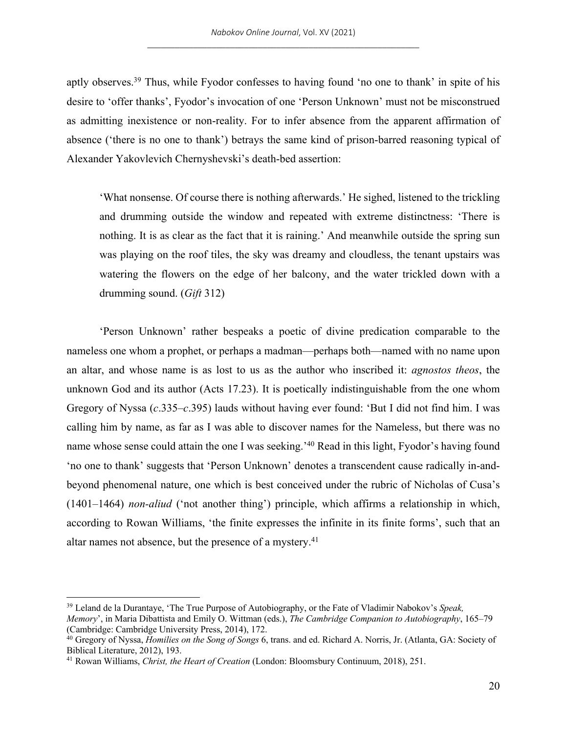aptly observes.<sup>39</sup> Thus, while Fyodor confesses to having found 'no one to thank' in spite of his desire to 'offer thanks', Fyodor's invocation of one 'Person Unknown' must not be misconstrued as admitting inexistence or non-reality. For to infer absence from the apparent affirmation of absence ('there is no one to thank') betrays the same kind of prison-barred reasoning typical of Alexander Yakovlevich Chernyshevski's death-bed assertion:

'What nonsense. Of course there is nothing afterwards.' He sighed, listened to the trickling and drumming outside the window and repeated with extreme distinctness: 'There is nothing. It is as clear as the fact that it is raining.' And meanwhile outside the spring sun was playing on the roof tiles, the sky was dreamy and cloudless, the tenant upstairs was watering the flowers on the edge of her balcony, and the water trickled down with a drumming sound. (*Gift* 312)

'Person Unknown' rather bespeaks a poetic of divine predication comparable to the nameless one whom a prophet, or perhaps a madman—perhaps both—named with no name upon an altar, and whose name is as lost to us as the author who inscribed it: *agnostos theos*, the unknown God and its author (Acts 17.23). It is poetically indistinguishable from the one whom Gregory of Nyssa (*c*.335–*c*.395) lauds without having ever found: 'But I did not find him. I was calling him by name, as far as I was able to discover names for the Nameless, but there was no name whose sense could attain the one I was seeking.<sup>'40</sup> Read in this light, Fyodor's having found 'no one to thank' suggests that 'Person Unknown' denotes a transcendent cause radically in-andbeyond phenomenal nature, one which is best conceived under the rubric of Nicholas of Cusa's (1401–1464) *non-aliud* ('not another thing') principle, which affirms a relationship in which, according to Rowan Williams, 'the finite expresses the infinite in its finite forms', such that an altar names not absence, but the presence of a mystery.<sup>41</sup>

<sup>39</sup> Leland de la Durantaye, 'The True Purpose of Autobiography, or the Fate of Vladimir Nabokov's *Speak, Memory*', in Maria Dibattista and Emily O. Wittman (eds.), *The Cambridge Companion to Autobiography*, 165–79 (Cambridge: Cambridge University Press, 2014), 172.

<sup>40</sup> Gregory of Nyssa, *Homilies on the Song of Songs* 6, trans. and ed. Richard A. Norris, Jr. (Atlanta, GA: Society of Biblical Literature, 2012), 193.

<sup>41</sup> Rowan Williams, *Christ, the Heart of Creation* (London: Bloomsbury Continuum, 2018), 251.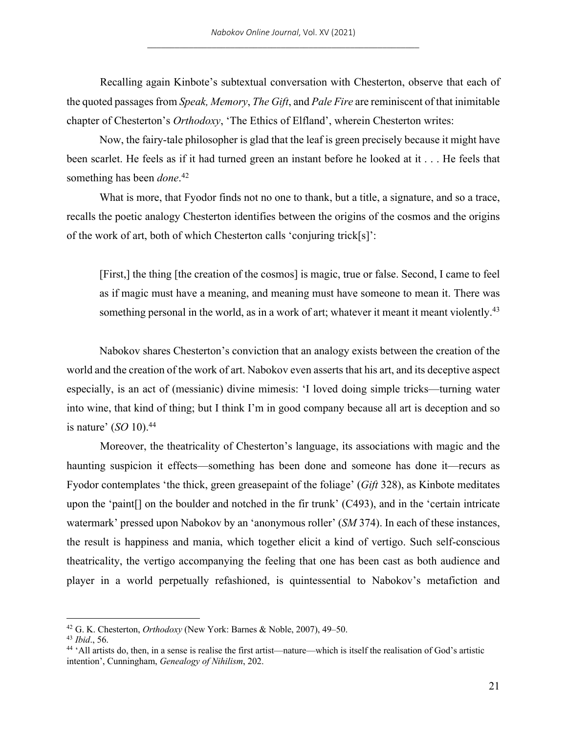Recalling again Kinbote's subtextual conversation with Chesterton, observe that each of the quoted passages from *Speak, Memory*, *The Gift*, and *Pale Fire* are reminiscent of that inimitable chapter of Chesterton's *Orthodoxy*, 'The Ethics of Elfland', wherein Chesterton writes:

Now, the fairy-tale philosopher is glad that the leaf is green precisely because it might have been scarlet. He feels as if it had turned green an instant before he looked at it . . . He feels that something has been *done*. 42

What is more, that Fyodor finds not no one to thank, but a title, a signature, and so a trace, recalls the poetic analogy Chesterton identifies between the origins of the cosmos and the origins of the work of art, both of which Chesterton calls 'conjuring trick[s]':

[First,] the thing [the creation of the cosmos] is magic, true or false. Second, I came to feel as if magic must have a meaning, and meaning must have someone to mean it. There was something personal in the world, as in a work of art; whatever it meant it meant violently.<sup>43</sup>

Nabokov shares Chesterton's conviction that an analogy exists between the creation of the world and the creation of the work of art. Nabokov even asserts that his art, and its deceptive aspect especially, is an act of (messianic) divine mimesis: 'I loved doing simple tricks—turning water into wine, that kind of thing; but I think I'm in good company because all art is deception and so is nature' (*SO* 10).44

Moreover, the theatricality of Chesterton's language, its associations with magic and the haunting suspicion it effects—something has been done and someone has done it—recurs as Fyodor contemplates 'the thick, green greasepaint of the foliage' (*Gift* 328), as Kinbote meditates upon the 'paint[] on the boulder and notched in the fir trunk' (C493), and in the 'certain intricate watermark' pressed upon Nabokov by an 'anonymous roller' (*SM* 374). In each of these instances, the result is happiness and mania, which together elicit a kind of vertigo. Such self-conscious theatricality, the vertigo accompanying the feeling that one has been cast as both audience and player in a world perpetually refashioned, is quintessential to Nabokov's metafiction and

<sup>42</sup> G. K. Chesterton, *Orthodoxy* (New York: Barnes & Noble, 2007), 49–50.

<sup>43</sup> *Ibid*., 56.

<sup>44</sup> 'All artists do, then, in a sense is realise the first artist—nature—which is itself the realisation of God's artistic intention', Cunningham, *Genealogy of Nihilism*, 202.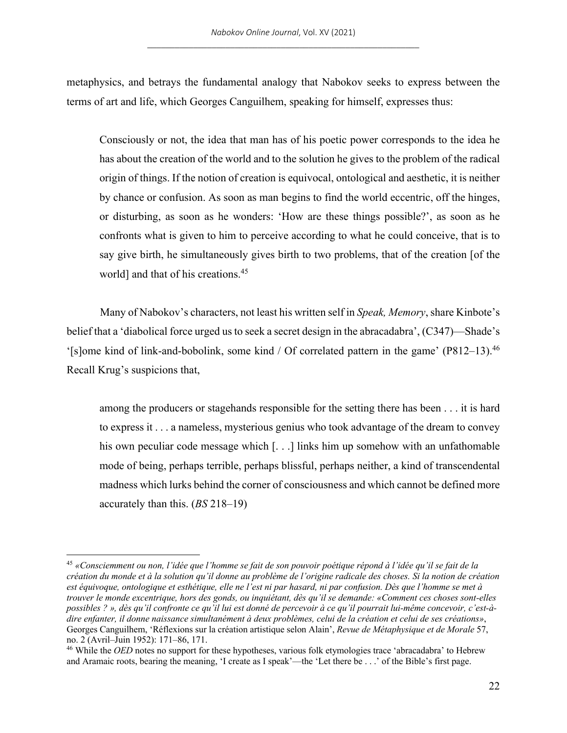metaphysics, and betrays the fundamental analogy that Nabokov seeks to express between the terms of art and life, which Georges Canguilhem, speaking for himself, expresses thus:

Consciously or not, the idea that man has of his poetic power corresponds to the idea he has about the creation of the world and to the solution he gives to the problem of the radical origin of things. If the notion of creation is equivocal, ontological and aesthetic, it is neither by chance or confusion. As soon as man begins to find the world eccentric, off the hinges, or disturbing, as soon as he wonders: 'How are these things possible?', as soon as he confronts what is given to him to perceive according to what he could conceive, that is to say give birth, he simultaneously gives birth to two problems, that of the creation [of the world] and that of his creations.<sup>45</sup>

Many of Nabokov's characters, not least his written self in *Speak, Memory*, share Kinbote's belief that a 'diabolical force urged us to seek a secret design in the abracadabra', (C347)—Shade's '[s]ome kind of link-and-bobolink, some kind / Of correlated pattern in the game' (P812–13).46 Recall Krug's suspicions that,

among the producers or stagehands responsible for the setting there has been . . . it is hard to express it . . . a nameless, mysterious genius who took advantage of the dream to convey his own peculiar code message which [...] links him up somehow with an unfathomable mode of being, perhaps terrible, perhaps blissful, perhaps neither, a kind of transcendental madness which lurks behind the corner of consciousness and which cannot be defined more accurately than this. (*BS* 218–19)

<sup>45</sup> *«Consciemment ou non, l'idée que l'homme se fait de son pouvoir poétique répond à l'idée qu'il se fait de la création du monde et à la solution qu'il donne au problème de l'origine radicale des choses. Si la notion de création est équivoque, ontologique et esthétique, elle ne l'est ni par hasard, ni par confusion. Dès que l'homme se met à trouver le monde excentrique, hors des gonds, ou inquiétant, dès qu'il se demande: «Comment ces choses sont-elles possibles ? », dès qu'il confronte ce qu'il lui est donné de percevoir à ce qu'il pourrait lui-même concevoir, c'est-àdire enfanter, il donne naissance simultanément à deux problèmes, celui de la création et celui de ses créations»*, Georges Canguilhem, 'Réflexions sur la création artistique selon Alain', *Revue de Métaphysique et de Morale* 57, no. 2 (Avril–Juin 1952): 171–86, 171.

<sup>&</sup>lt;sup>46</sup> While the *OED* notes no support for these hypotheses, various folk etymologies trace 'abracadabra' to Hebrew and Aramaic roots, bearing the meaning, 'I create as I speak'—the 'Let there be . . .' of the Bible's first page.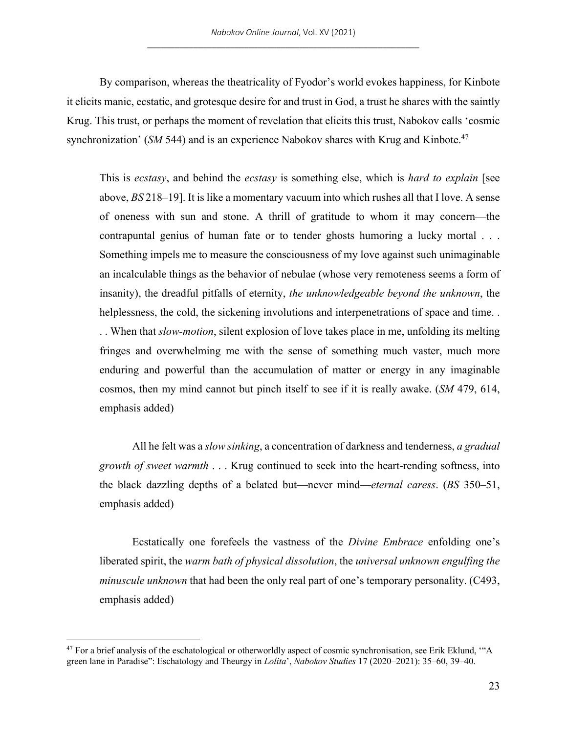By comparison, whereas the theatricality of Fyodor's world evokes happiness, for Kinbote it elicits manic, ecstatic, and grotesque desire for and trust in God, a trust he shares with the saintly Krug. This trust, or perhaps the moment of revelation that elicits this trust, Nabokov calls 'cosmic synchronization' (*SM* 544) and is an experience Nabokov shares with Krug and Kinbote.<sup>47</sup>

This is *ecstasy*, and behind the *ecstasy* is something else, which is *hard to explain* [see above, *BS* 218–19]. It is like a momentary vacuum into which rushes all that I love. A sense of oneness with sun and stone. A thrill of gratitude to whom it may concern—the contrapuntal genius of human fate or to tender ghosts humoring a lucky mortal . . . Something impels me to measure the consciousness of my love against such unimaginable an incalculable things as the behavior of nebulae (whose very remoteness seems a form of insanity), the dreadful pitfalls of eternity, *the unknowledgeable beyond the unknown*, the helplessness, the cold, the sickening involutions and interpenetrations of space and time. . . When that *slow-motion*, silent explosion of love takes place in me, unfolding its melting fringes and overwhelming me with the sense of something much vaster, much more enduring and powerful than the accumulation of matter or energy in any imaginable cosmos, then my mind cannot but pinch itself to see if it is really awake. (*SM* 479, 614, emphasis added)

All he felt was a *slow sinking*, a concentration of darkness and tenderness, *a gradual growth of sweet warmth* . . . Krug continued to seek into the heart-rending softness, into the black dazzling depths of a belated but—never mind—*eternal caress*. (*BS* 350–51, emphasis added)

Ecstatically one forefeels the vastness of the *Divine Embrace* enfolding one's liberated spirit, the *warm bath of physical dissolution*, the *universal unknown engulfing the minuscule unknown* that had been the only real part of one's temporary personality. (C493, emphasis added)

<sup>&</sup>lt;sup>47</sup> For a brief analysis of the eschatological or otherworldly aspect of cosmic synchronisation, see Erik Eklund, "A green lane in Paradise": Eschatology and Theurgy in *Lolita*', *Nabokov Studies* 17 (2020–2021): 35–60, 39–40.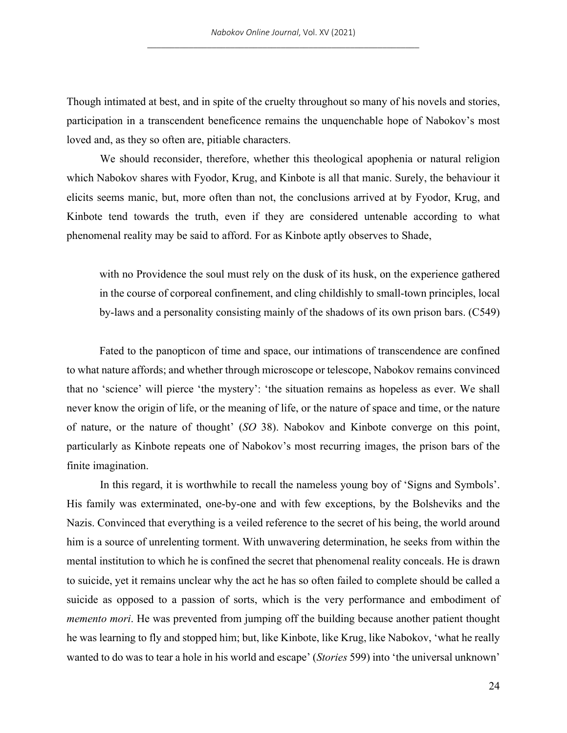Though intimated at best, and in spite of the cruelty throughout so many of his novels and stories, participation in a transcendent beneficence remains the unquenchable hope of Nabokov's most loved and, as they so often are, pitiable characters.

We should reconsider, therefore, whether this theological apophenia or natural religion which Nabokov shares with Fyodor, Krug, and Kinbote is all that manic. Surely, the behaviour it elicits seems manic, but, more often than not, the conclusions arrived at by Fyodor, Krug, and Kinbote tend towards the truth, even if they are considered untenable according to what phenomenal reality may be said to afford. For as Kinbote aptly observes to Shade,

with no Providence the soul must rely on the dusk of its husk, on the experience gathered in the course of corporeal confinement, and cling childishly to small-town principles, local by-laws and a personality consisting mainly of the shadows of its own prison bars. (C549)

Fated to the panopticon of time and space, our intimations of transcendence are confined to what nature affords; and whether through microscope or telescope, Nabokov remains convinced that no 'science' will pierce 'the mystery': 'the situation remains as hopeless as ever. We shall never know the origin of life, or the meaning of life, or the nature of space and time, or the nature of nature, or the nature of thought' (*SO* 38). Nabokov and Kinbote converge on this point, particularly as Kinbote repeats one of Nabokov's most recurring images, the prison bars of the finite imagination.

In this regard, it is worthwhile to recall the nameless young boy of 'Signs and Symbols'. His family was exterminated, one-by-one and with few exceptions, by the Bolsheviks and the Nazis. Convinced that everything is a veiled reference to the secret of his being, the world around him is a source of unrelenting torment. With unwavering determination, he seeks from within the mental institution to which he is confined the secret that phenomenal reality conceals. He is drawn to suicide, yet it remains unclear why the act he has so often failed to complete should be called a suicide as opposed to a passion of sorts, which is the very performance and embodiment of *memento mori*. He was prevented from jumping off the building because another patient thought he was learning to fly and stopped him; but, like Kinbote, like Krug, like Nabokov, 'what he really wanted to do was to tear a hole in his world and escape' (*Stories* 599) into 'the universal unknown'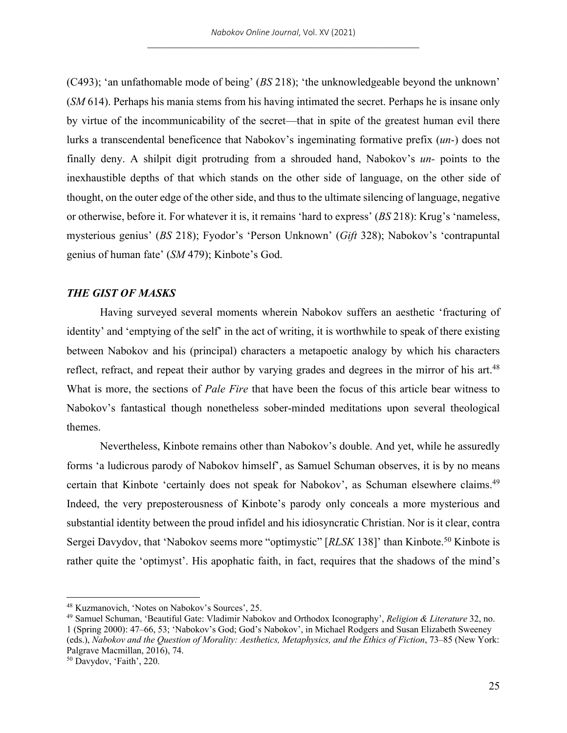(C493); 'an unfathomable mode of being' (*BS* 218); 'the unknowledgeable beyond the unknown' (*SM* 614). Perhaps his mania stems from his having intimated the secret. Perhaps he is insane only by virtue of the incommunicability of the secret—that in spite of the greatest human evil there lurks a transcendental beneficence that Nabokov's ingeminating formative prefix (*un-*) does not finally deny. A shilpit digit protruding from a shrouded hand, Nabokov's *un-* points to the inexhaustible depths of that which stands on the other side of language, on the other side of thought, on the outer edge of the other side, and thus to the ultimate silencing of language, negative or otherwise, before it. For whatever it is, it remains 'hard to express' (*BS* 218): Krug's 'nameless, mysterious genius' (*BS* 218); Fyodor's 'Person Unknown' (*Gift* 328); Nabokov's 'contrapuntal genius of human fate' (*SM* 479); Kinbote's God.

## *THE GIST OF MASKS*

Having surveyed several moments wherein Nabokov suffers an aesthetic 'fracturing of identity' and 'emptying of the self' in the act of writing, it is worthwhile to speak of there existing between Nabokov and his (principal) characters a metapoetic analogy by which his characters reflect, refract, and repeat their author by varying grades and degrees in the mirror of his art.<sup>48</sup> What is more, the sections of *Pale Fire* that have been the focus of this article bear witness to Nabokov's fantastical though nonetheless sober-minded meditations upon several theological themes.

Nevertheless, Kinbote remains other than Nabokov's double. And yet, while he assuredly forms 'a ludicrous parody of Nabokov himself', as Samuel Schuman observes, it is by no means certain that Kinbote 'certainly does not speak for Nabokov', as Schuman elsewhere claims.<sup>49</sup> Indeed, the very preposterousness of Kinbote's parody only conceals a more mysterious and substantial identity between the proud infidel and his idiosyncratic Christian. Nor is it clear, contra Sergei Davydov, that 'Nabokov seems more "optimystic" [*RLSK* 138]' than Kinbote.50 Kinbote is rather quite the 'optimyst'. His apophatic faith, in fact, requires that the shadows of the mind's

<sup>48</sup> Kuzmanovich, 'Notes on Nabokov's Sources', 25.

<sup>49</sup> Samuel Schuman, 'Beautiful Gate: Vladimir Nabokov and Orthodox Iconography', *Religion & Literature* 32, no. 1 (Spring 2000): 47–66, 53; 'Nabokov's God; God's Nabokov', in Michael Rodgers and Susan Elizabeth Sweeney (eds.), *Nabokov and the Question of Morality: Aesthetics, Metaphysics, and the Ethics of Fiction*, 73–85 (New York: Palgrave Macmillan, 2016), 74.

<sup>50</sup> Davydov, 'Faith', 220.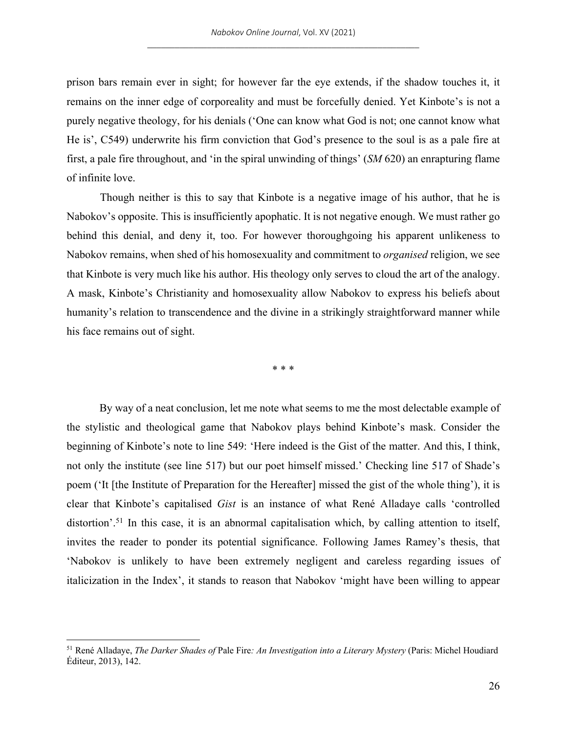prison bars remain ever in sight; for however far the eye extends, if the shadow touches it, it remains on the inner edge of corporeality and must be forcefully denied. Yet Kinbote's is not a purely negative theology, for his denials ('One can know what God is not; one cannot know what He is', C549) underwrite his firm conviction that God's presence to the soul is as a pale fire at first, a pale fire throughout, and 'in the spiral unwinding of things' (*SM* 620) an enrapturing flame of infinite love.

Though neither is this to say that Kinbote is a negative image of his author, that he is Nabokov's opposite. This is insufficiently apophatic. It is not negative enough. We must rather go behind this denial, and deny it, too. For however thoroughgoing his apparent unlikeness to Nabokov remains, when shed of his homosexuality and commitment to *organised* religion, we see that Kinbote is very much like his author. His theology only serves to cloud the art of the analogy. A mask, Kinbote's Christianity and homosexuality allow Nabokov to express his beliefs about humanity's relation to transcendence and the divine in a strikingly straightforward manner while his face remains out of sight.

\* \* \*

By way of a neat conclusion, let me note what seems to me the most delectable example of the stylistic and theological game that Nabokov plays behind Kinbote's mask. Consider the beginning of Kinbote's note to line 549: 'Here indeed is the Gist of the matter. And this, I think, not only the institute (see line 517) but our poet himself missed.' Checking line 517 of Shade's poem ('It [the Institute of Preparation for the Hereafter] missed the gist of the whole thing'), it is clear that Kinbote's capitalised *Gist* is an instance of what René Alladaye calls 'controlled distortion'.<sup>51</sup> In this case, it is an abnormal capitalisation which, by calling attention to itself, invites the reader to ponder its potential significance. Following James Ramey's thesis, that 'Nabokov is unlikely to have been extremely negligent and careless regarding issues of italicization in the Index', it stands to reason that Nabokov 'might have been willing to appear

<sup>51</sup> René Alladaye, *The Darker Shades of* Pale Fire*: An Investigation into a Literary Mystery* (Paris: Michel Houdiard Éditeur, 2013), 142.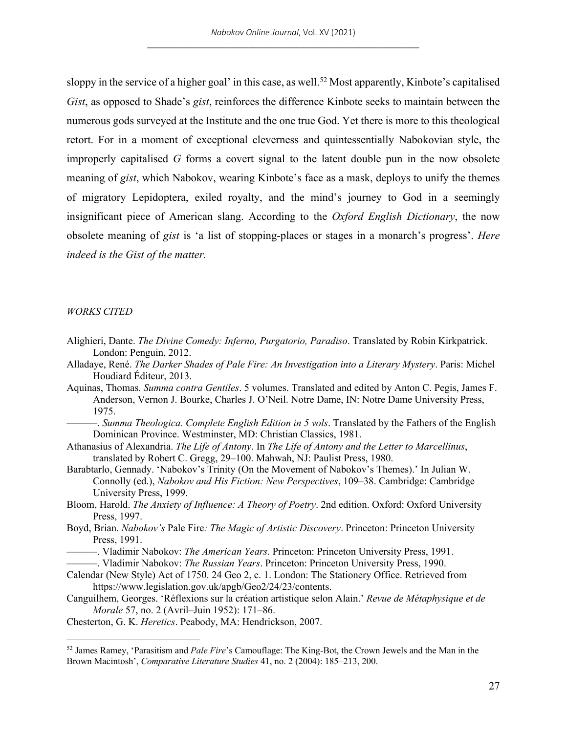sloppy in the service of a higher goal' in this case, as well.<sup>52</sup> Most apparently, Kinbote's capitalised *Gist*, as opposed to Shade's *gist*, reinforces the difference Kinbote seeks to maintain between the numerous gods surveyed at the Institute and the one true God. Yet there is more to this theological retort. For in a moment of exceptional cleverness and quintessentially Nabokovian style, the improperly capitalised *G* forms a covert signal to the latent double pun in the now obsolete meaning of *gist*, which Nabokov, wearing Kinbote's face as a mask, deploys to unify the themes of migratory Lepidoptera, exiled royalty, and the mind's journey to God in a seemingly insignificant piece of American slang. According to the *Oxford English Dictionary*, the now obsolete meaning of *gist* is 'a list of stopping-places or stages in a monarch's progress'. *Here indeed is the Gist of the matter.*

#### *WORKS CITED*

- Alighieri, Dante. *The Divine Comedy: Inferno, Purgatorio, Paradiso*. Translated by Robin Kirkpatrick. London: Penguin, 2012.
- Alladaye, René. *The Darker Shades of Pale Fire: An Investigation into a Literary Mystery*. Paris: Michel Houdiard Éditeur, 2013.
- Aquinas, Thomas. *Summa contra Gentiles*. 5 volumes. Translated and edited by Anton C. Pegis, James F. Anderson, Vernon J. Bourke, Charles J. O'Neil. Notre Dame, IN: Notre Dame University Press, 1975.
	- ———. *Summa Theologica. Complete English Edition in 5 vols*. Translated by the Fathers of the English Dominican Province. Westminster, MD: Christian Classics, 1981.
- Athanasius of Alexandria. *The Life of Antony*. In *The Life of Antony and the Letter to Marcellinus*, translated by Robert C. Gregg, 29–100. Mahwah, NJ: Paulist Press, 1980.
- Barabtarlo, Gennady. 'Nabokov's Trinity (On the Movement of Nabokov's Themes).' In Julian W. Connolly (ed.), *Nabokov and His Fiction: New Perspectives*, 109–38. Cambridge: Cambridge University Press, 1999.
- Bloom, Harold. *The Anxiety of Influence: A Theory of Poetry*. 2nd edition. Oxford: Oxford University Press, 1997.
- Boyd, Brian. *Nabokov's* Pale Fire*: The Magic of Artistic Discovery*. Princeton: Princeton University Press, 1991.
- ———. Vladimir Nabokov: *The American Years*. Princeton: Princeton University Press, 1991.
- ———. Vladimir Nabokov: *The Russian Years*. Princeton: Princeton University Press, 1990.
- Calendar (New Style) Act of 1750. 24 Geo 2, c. 1. London: The Stationery Office. Retrieved from https://www.legislation.gov.uk/apgb/Geo2/24/23/contents.
- Canguilhem, Georges. 'Réflexions sur la création artistique selon Alain.' *Revue de Métaphysique et de Morale* 57, no. 2 (Avril–Juin 1952): 171–86.
- Chesterton, G. K. *Heretics*. Peabody, MA: Hendrickson, 2007.

<sup>52</sup> James Ramey, 'Parasitism and *Pale Fire*'s Camouflage: The King-Bot, the Crown Jewels and the Man in the Brown Macintosh', *Comparative Literature Studies* 41, no. 2 (2004): 185–213, 200.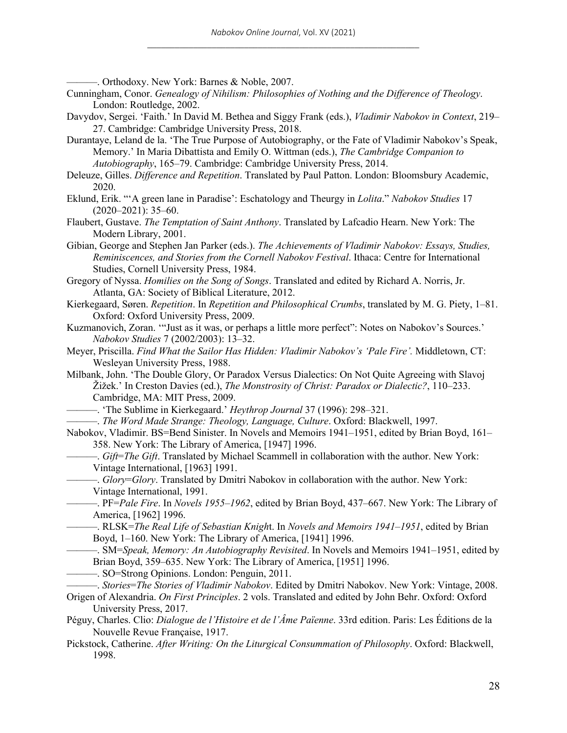———. Orthodoxy. New York: Barnes & Noble, 2007.

- Cunningham, Conor. *Genealogy of Nihilism: Philosophies of Nothing and the Difference of Theology*. London: Routledge, 2002.
- Davydov, Sergei. 'Faith.' In David M. Bethea and Siggy Frank (eds.), *Vladimir Nabokov in Context*, 219– 27. Cambridge: Cambridge University Press, 2018.
- Durantaye, Leland de la. 'The True Purpose of Autobiography, or the Fate of Vladimir Nabokov's Speak, Memory.' In Maria Dibattista and Emily O. Wittman (eds.), *The Cambridge Companion to Autobiography*, 165–79. Cambridge: Cambridge University Press, 2014.
- Deleuze, Gilles. *Difference and Repetition*. Translated by Paul Patton. London: Bloomsbury Academic, 2020.
- Eklund, Erik. "'A green lane in Paradise': Eschatology and Theurgy in *Lolita*." *Nabokov Studies* 17  $(2020-2021)$ : 35-60.
- Flaubert, Gustave. *The Temptation of Saint Anthony*. Translated by Lafcadio Hearn. New York: The Modern Library, 2001.
- Gibian, George and Stephen Jan Parker (eds.). *The Achievements of Vladimir Nabokov: Essays, Studies, Reminiscences, and Stories from the Cornell Nabokov Festival*. Ithaca: Centre for International Studies, Cornell University Press, 1984.
- Gregory of Nyssa. *Homilies on the Song of Songs*. Translated and edited by Richard A. Norris, Jr. Atlanta, GA: Society of Biblical Literature, 2012.
- Kierkegaard, Søren. *Repetition*. In *Repetition and Philosophical Crumbs*, translated by M. G. Piety, 1–81. Oxford: Oxford University Press, 2009.
- Kuzmanovich, Zoran. '"Just as it was, or perhaps a little more perfect": Notes on Nabokov's Sources.' *Nabokov Studies* 7 (2002/2003): 13–32.
- Meyer, Priscilla. *Find What the Sailor Has Hidden: Vladimir Nabokov's 'Pale Fire'.* Middletown, CT: Wesleyan University Press, 1988.
- Milbank, John. 'The Double Glory, Or Paradox Versus Dialectics: On Not Quite Agreeing with Slavoj Žižek.' In Creston Davies (ed.), *The Monstrosity of Christ: Paradox or Dialectic?*, 110–233. Cambridge, MA: MIT Press, 2009.
	- ———. 'The Sublime in Kierkegaard.' *Heythrop Journal* 37 (1996): 298–321.
	- ———. *The Word Made Strange: Theology, Language, Culture*. Oxford: Blackwell, 1997.
- Nabokov, Vladimir. BS=Bend Sinister. In Novels and Memoirs 1941–1951, edited by Brian Boyd, 161– 358. New York: The Library of America, [1947] 1996.
	- ———. *Gift*=*The Gift*. Translated by Michael Scammell in collaboration with the author. New York: Vintage International, [1963] 1991.
	- ———. *Glory*=*Glory*. Translated by Dmitri Nabokov in collaboration with the author. New York: Vintage International, 1991.
- ———. PF=*Pale Fire*. In *Novels 1955–1962*, edited by Brian Boyd, 437–667. New York: The Library of America, [1962] 1996.
	- ———. RLSK=*The Real Life of Sebastian Knigh*t. In *Novels and Memoirs 1941–1951*, edited by Brian Boyd, 1–160. New York: The Library of America, [1941] 1996.
- ———. SM=*Speak, Memory: An Autobiography Revisited*. In Novels and Memoirs 1941–1951, edited by Brian Boyd, 359–635. New York: The Library of America, [1951] 1996.

———. SO=Strong Opinions. London: Penguin, 2011.

- ———. *Stories*=*The Stories of Vladimir Nabokov*. Edited by Dmitri Nabokov. New York: Vintage, 2008.
- Origen of Alexandria. *On First Principles*. 2 vols. Translated and edited by John Behr. Oxford: Oxford University Press, 2017.
- Péguy, Charles. Clio: *Dialogue de l'Histoire et de l'Âme Païenne*. 33rd edition. Paris: Les Éditions de la Nouvelle Revue Française, 1917.
- Pickstock, Catherine. *After Writing: On the Liturgical Consummation of Philosophy*. Oxford: Blackwell, 1998.